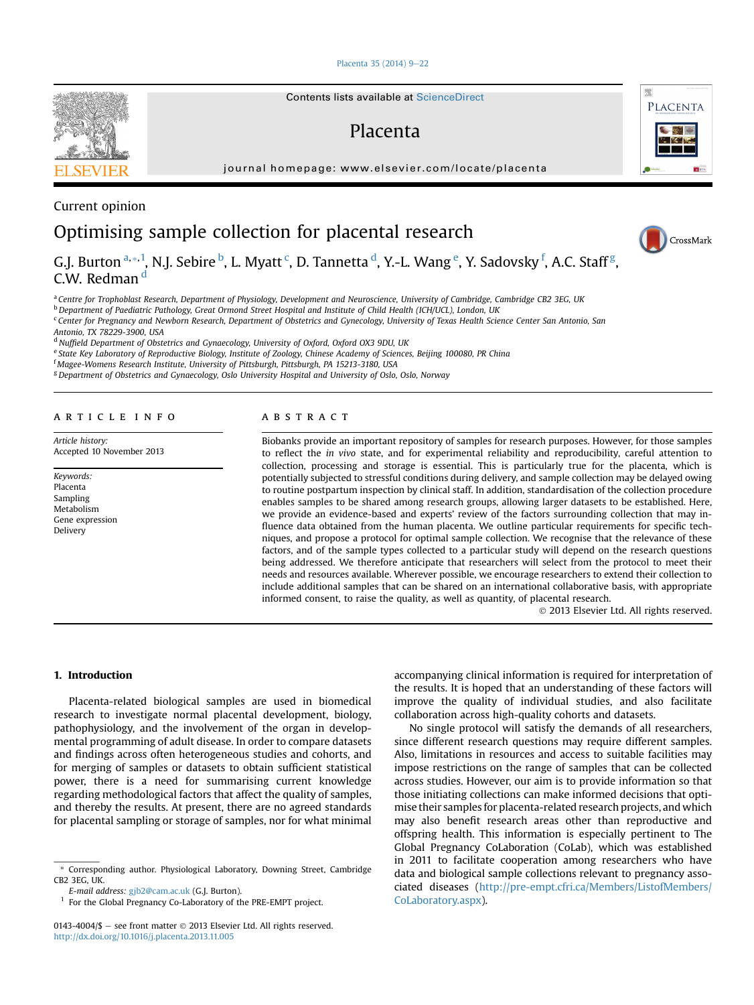## [Placenta 35 \(2014\) 9](http://dx.doi.org/10.1016/j.placenta.2013.11.005)-[22](http://dx.doi.org/10.1016/j.placenta.2013.11.005)

Contents lists available at ScienceDirect

## Placenta

journal homepage: [www.elsevier.com/locate/placenta](http://www.elsevier.com/locate/placenta)





CrossMark

## Current opinion

# Optimising sample collection for placental research

G.J. Burton <sup>a, \*, 1</sup>, N.J. Sebire <sup>b</sup>, L. Myatt <sup>c</sup>, D. Tannetta <sup>d</sup>, Y.-L. Wang <sup>e</sup>, Y. Sadovsky <sup>f</sup>, A.C. Staff <sup>g</sup>, C.W. Redman<sup>d</sup>

a Centre for Trophoblast Research, Department of Physiology, Development and Neuroscience, University of Cambridge, Cambridge CB2 3EG, UK

<sup>b</sup> Department of Paediatric Pathology, Great Ormond Street Hospital and Institute of Child Health (ICH/UCL), London, UK

<sup>c</sup> Center for Pregnancy and Newborn Research, Department of Obstetrics and Gynecology, University of Texas Health Science Center San Antonio, San

Antonio, TX 78229-3900, USA

<sup>d</sup> Nuffield Department of Obstetrics and Gynaecology, University of Oxford, Oxford OX3 9DU, UK

e State Key Laboratory of Reproductive Biology, Institute of Zoology, Chinese Academy of Sciences, Beijing 100080, PR China

<sup>f</sup> Magee-Womens Research Institute, University of Pittsburgh, Pittsburgh, PA 15213-3180, USA

<sup>g</sup> Department of Obstetrics and Gynaecology, Oslo University Hospital and University of Oslo, Oslo, Norway

### article info

Article history: Accepted 10 November 2013

Keywords: Placenta Sampling Metabolism Gene expression Delivery

## **ABSTRACT**

Biobanks provide an important repository of samples for research purposes. However, for those samples to reflect the in vivo state, and for experimental reliability and reproducibility, careful attention to collection, processing and storage is essential. This is particularly true for the placenta, which is potentially subjected to stressful conditions during delivery, and sample collection may be delayed owing to routine postpartum inspection by clinical staff. In addition, standardisation of the collection procedure enables samples to be shared among research groups, allowing larger datasets to be established. Here, we provide an evidence-based and experts' review of the factors surrounding collection that may influence data obtained from the human placenta. We outline particular requirements for specific techniques, and propose a protocol for optimal sample collection. We recognise that the relevance of these factors, and of the sample types collected to a particular study will depend on the research questions being addressed. We therefore anticipate that researchers will select from the protocol to meet their needs and resources available. Wherever possible, we encourage researchers to extend their collection to include additional samples that can be shared on an international collaborative basis, with appropriate informed consent, to raise the quality, as well as quantity, of placental research.

2013 Elsevier Ltd. All rights reserved.

## 1. Introduction

Placenta-related biological samples are used in biomedical research to investigate normal placental development, biology, pathophysiology, and the involvement of the organ in developmental programming of adult disease. In order to compare datasets and findings across often heterogeneous studies and cohorts, and for merging of samples or datasets to obtain sufficient statistical power, there is a need for summarising current knowledge regarding methodological factors that affect the quality of samples, and thereby the results. At present, there are no agreed standards for placental sampling or storage of samples, nor for what minimal

accompanying clinical information is required for interpretation of the results. It is hoped that an understanding of these factors will improve the quality of individual studies, and also facilitate collaboration across high-quality cohorts and datasets.

No single protocol will satisfy the demands of all researchers, since different research questions may require different samples. Also, limitations in resources and access to suitable facilities may impose restrictions on the range of samples that can be collected across studies. However, our aim is to provide information so that those initiating collections can make informed decisions that optimise their samples for placenta-related research projects, and which may also benefit research areas other than reproductive and offspring health. This information is especially pertinent to The Global Pregnancy CoLaboration (CoLab), which was established in 2011 to facilitate cooperation among researchers who have data and biological sample collections relevant to pregnancy associated diseases ([http://pre-empt.cfri.ca/Members/ListofMembers/](http://pre-empt.cfri.ca/Members/ListofMembers/CoLaboratory.aspx) [CoLaboratory.aspx](http://pre-empt.cfri.ca/Members/ListofMembers/CoLaboratory.aspx)).

<sup>\*</sup> Corresponding author. Physiological Laboratory, Downing Street, Cambridge CB2 3EG, UK.

E-mail address: [gjb2@cam.ac.uk](mailto:gjb2@cam.ac.uk) (G.J. Burton).

<sup>&</sup>lt;sup>1</sup> For the Global Pregnancy Co-Laboratory of the PRE-EMPT project.

<sup>0143-4004/\$ -</sup> see front matter  $\odot$  2013 Elsevier Ltd. All rights reserved. <http://dx.doi.org/10.1016/j.placenta.2013.11.005>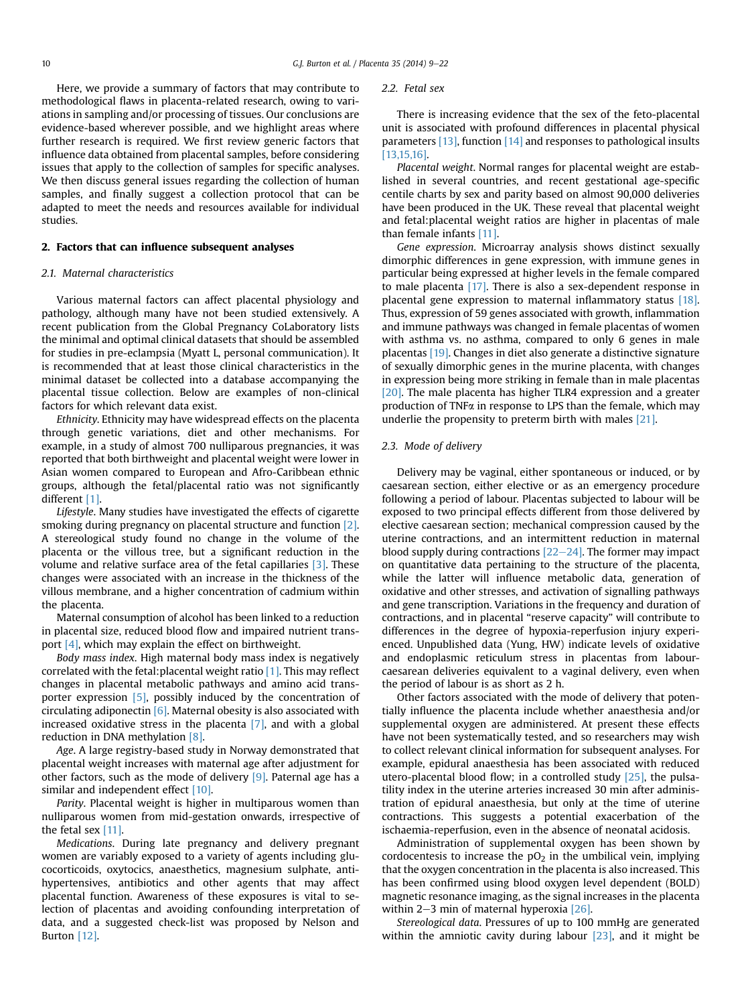Here, we provide a summary of factors that may contribute to methodological flaws in placenta-related research, owing to variations in sampling and/or processing of tissues. Our conclusions are evidence-based wherever possible, and we highlight areas where further research is required. We first review generic factors that influence data obtained from placental samples, before considering issues that apply to the collection of samples for specific analyses. We then discuss general issues regarding the collection of human samples, and finally suggest a collection protocol that can be adapted to meet the needs and resources available for individual studies.

## 2. Factors that can influence subsequent analyses

#### 2.1. Maternal characteristics

Various maternal factors can affect placental physiology and pathology, although many have not been studied extensively. A recent publication from the Global Pregnancy CoLaboratory lists the minimal and optimal clinical datasets that should be assembled for studies in pre-eclampsia (Myatt L, personal communication). It is recommended that at least those clinical characteristics in the minimal dataset be collected into a database accompanying the placental tissue collection. Below are examples of non-clinical factors for which relevant data exist.

Ethnicity. Ethnicity may have widespread effects on the placenta through genetic variations, diet and other mechanisms. For example, in a study of almost 700 nulliparous pregnancies, it was reported that both birthweight and placental weight were lower in Asian women compared to European and Afro-Caribbean ethnic groups, although the fetal/placental ratio was not significantly different [\[1\].](#page-10-0)

Lifestyle. Many studies have investigated the effects of cigarette smoking during pregnancy on placental structure and function [\[2\].](#page-10-0) A stereological study found no change in the volume of the placenta or the villous tree, but a significant reduction in the volume and relative surface area of the fetal capillaries [\[3\]](#page-10-0). These changes were associated with an increase in the thickness of the villous membrane, and a higher concentration of cadmium within the placenta.

Maternal consumption of alcohol has been linked to a reduction in placental size, reduced blood flow and impaired nutrient transport [\[4\],](#page-10-0) which may explain the effect on birthweight.

Body mass index. High maternal body mass index is negatively correlated with the fetal:placental weight ratio [\[1\].](#page-10-0) This may reflect changes in placental metabolic pathways and amino acid transporter expression [\[5\]](#page-11-0), possibly induced by the concentration of circulating adiponectin  $[6]$ . Maternal obesity is also associated with increased oxidative stress in the placenta [\[7\],](#page-11-0) and with a global reduction in DNA methylation [\[8\]](#page-11-0).

Age. A large registry-based study in Norway demonstrated that placental weight increases with maternal age after adjustment for other factors, such as the mode of delivery [\[9\].](#page-11-0) Paternal age has a similar and independent effect  $[10]$ .

Parity. Placental weight is higher in multiparous women than nulliparous women from mid-gestation onwards, irrespective of the fetal sex [\[11\]](#page-11-0).

Medications. During late pregnancy and delivery pregnant women are variably exposed to a variety of agents including glucocorticoids, oxytocics, anaesthetics, magnesium sulphate, antihypertensives, antibiotics and other agents that may affect placental function. Awareness of these exposures is vital to selection of placentas and avoiding confounding interpretation of data, and a suggested check-list was proposed by Nelson and Burton [\[12\]](#page-11-0).

2.2. Fetal sex

There is increasing evidence that the sex of the feto-placental unit is associated with profound differences in placental physical parameters [\[13\]](#page-11-0), function [\[14\]](#page-11-0) and responses to pathological insults [\[13,15,16\]](#page-11-0).

Placental weight. Normal ranges for placental weight are established in several countries, and recent gestational age-specific centile charts by sex and parity based on almost 90,000 deliveries have been produced in the UK. These reveal that placental weight and fetal:placental weight ratios are higher in placentas of male than female infants [\[11\]](#page-11-0).

Gene expression. Microarray analysis shows distinct sexually dimorphic differences in gene expression, with immune genes in particular being expressed at higher levels in the female compared to male placenta [\[17\]](#page-11-0). There is also a sex-dependent response in placental gene expression to maternal inflammatory status [\[18\].](#page-11-0) Thus, expression of 59 genes associated with growth, inflammation and immune pathways was changed in female placentas of women with asthma vs. no asthma, compared to only 6 genes in male placentas [\[19\]](#page-11-0). Changes in diet also generate a distinctive signature of sexually dimorphic genes in the murine placenta, with changes in expression being more striking in female than in male placentas [\[20\]](#page-11-0). The male placenta has higher TLR4 expression and a greater production of TNF $\alpha$  in response to LPS than the female, which may underlie the propensity to preterm birth with males [\[21\].](#page-11-0)

## 2.3. Mode of delivery

Delivery may be vaginal, either spontaneous or induced, or by caesarean section, either elective or as an emergency procedure following a period of labour. Placentas subjected to labour will be exposed to two principal effects different from those delivered by elective caesarean section; mechanical compression caused by the uterine contractions, and an intermittent reduction in maternal blood supply during contractions  $[22-24]$  $[22-24]$ . The former may impact on quantitative data pertaining to the structure of the placenta, while the latter will influence metabolic data, generation of oxidative and other stresses, and activation of signalling pathways and gene transcription. Variations in the frequency and duration of contractions, and in placental "reserve capacity" will contribute to differences in the degree of hypoxia-reperfusion injury experienced. Unpublished data (Yung, HW) indicate levels of oxidative and endoplasmic reticulum stress in placentas from labourcaesarean deliveries equivalent to a vaginal delivery, even when the period of labour is as short as 2 h.

Other factors associated with the mode of delivery that potentially influence the placenta include whether anaesthesia and/or supplemental oxygen are administered. At present these effects have not been systematically tested, and so researchers may wish to collect relevant clinical information for subsequent analyses. For example, epidural anaesthesia has been associated with reduced utero-placental blood flow; in a controlled study  $[25]$ , the pulsatility index in the uterine arteries increased 30 min after administration of epidural anaesthesia, but only at the time of uterine contractions. This suggests a potential exacerbation of the ischaemia-reperfusion, even in the absence of neonatal acidosis.

Administration of supplemental oxygen has been shown by cordocentesis to increase the  $pO<sub>2</sub>$  in the umbilical vein, implying that the oxygen concentration in the placenta is also increased. This has been confirmed using blood oxygen level dependent (BOLD) magnetic resonance imaging, as the signal increases in the placenta within 2-3 min of maternal hyperoxia  $[26]$ .

Stereological data. Pressures of up to 100 mmHg are generated within the amniotic cavity during labour  $[23]$ , and it might be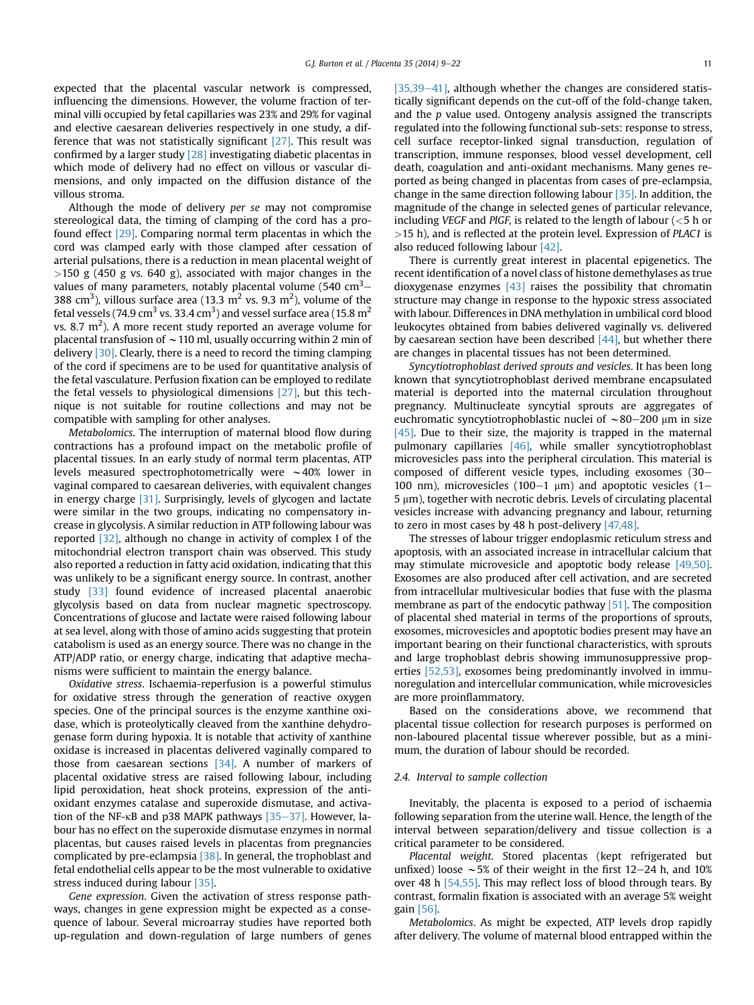expected that the placental vascular network is compressed, influencing the dimensions. However, the volume fraction of terminal villi occupied by fetal capillaries was 23% and 29% for vaginal and elective caesarean deliveries respectively in one study, a difference that was not statistically significant [\[27\].](#page-11-0) This result was confirmed by a larger study [\[28\]](#page-11-0) investigating diabetic placentas in which mode of delivery had no effect on villous or vascular dimensions, and only impacted on the diffusion distance of the villous stroma.

Although the mode of delivery per se may not compromise stereological data, the timing of clamping of the cord has a profound effect [\[29\].](#page-11-0) Comparing normal term placentas in which the cord was clamped early with those clamped after cessation of arterial pulsations, there is a reduction in mean placental weight of  $>150$  g (450 g vs. 640 g), associated with major changes in the values of many parameters, notably placental volume (540 cm $^3-$ 388 cm<sup>3</sup>), villous surface area (13.3 m<sup>2</sup> vs. 9.3 m<sup>2</sup>), volume of the fetal vessels (74.9 cm $^3$  vs. 33.4 cm $^3$ ) and vessel surface area (15.8 m $^2$ vs. 8.7 m<sup>2</sup>). A more recent study reported an average volume for placental transfusion of  $\sim$  110 ml, usually occurring within 2 min of delivery [\[30\]](#page-11-0). Clearly, there is a need to record the timing clamping of the cord if specimens are to be used for quantitative analysis of the fetal vasculature. Perfusion fixation can be employed to redilate the fetal vessels to physiological dimensions [\[27\],](#page-11-0) but this technique is not suitable for routine collections and may not be compatible with sampling for other analyses.

Metabolomics. The interruption of maternal blood flow during contractions has a profound impact on the metabolic profile of placental tissues. In an early study of normal term placentas, ATP levels measured spectrophotometrically were  $\sim$ 40% lower in vaginal compared to caesarean deliveries, with equivalent changes in energy charge [\[31\]](#page-11-0). Surprisingly, levels of glycogen and lactate were similar in the two groups, indicating no compensatory increase in glycolysis. A similar reduction in ATP following labour was reported [\[32\],](#page-11-0) although no change in activity of complex I of the mitochondrial electron transport chain was observed. This study also reported a reduction in fatty acid oxidation, indicating that this was unlikely to be a significant energy source. In contrast, another study [\[33\]](#page-11-0) found evidence of increased placental anaerobic glycolysis based on data from nuclear magnetic spectroscopy. Concentrations of glucose and lactate were raised following labour at sea level, along with those of amino acids suggesting that protein catabolism is used as an energy source. There was no change in the ATP/ADP ratio, or energy charge, indicating that adaptive mechanisms were sufficient to maintain the energy balance.

Oxidative stress. Ischaemia-reperfusion is a powerful stimulus for oxidative stress through the generation of reactive oxygen species. One of the principal sources is the enzyme xanthine oxidase, which is proteolytically cleaved from the xanthine dehydrogenase form during hypoxia. It is notable that activity of xanthine oxidase is increased in placentas delivered vaginally compared to those from caesarean sections [\[34\].](#page-11-0) A number of markers of placental oxidative stress are raised following labour, including lipid peroxidation, heat shock proteins, expression of the antioxidant enzymes catalase and superoxide dismutase, and activation of the NF- $\kappa$ B and p38 MAPK pathways [\[35](#page-11-0)–[37\].](#page-11-0) However, labour has no effect on the superoxide dismutase enzymes in normal placentas, but causes raised levels in placentas from pregnancies complicated by pre-eclampsia [\[38\]](#page-11-0). In general, the trophoblast and fetal endothelial cells appear to be the most vulnerable to oxidative stress induced during labour [\[35\].](#page-11-0)

Gene expression. Given the activation of stress response pathways, changes in gene expression might be expected as a consequence of labour. Several microarray studies have reported both up-regulation and down-regulation of large numbers of genes  $[35,39-41]$  $[35,39-41]$  $[35,39-41]$ , although whether the changes are considered statistically significant depends on the cut-off of the fold-change taken, and the  $p$  value used. Ontogeny analysis assigned the transcripts regulated into the following functional sub-sets: response to stress, cell surface receptor-linked signal transduction, regulation of transcription, immune responses, blood vessel development, cell death, coagulation and anti-oxidant mechanisms. Many genes reported as being changed in placentas from cases of pre-eclampsia, change in the same direction following labour [\[35\]](#page-11-0). In addition, the magnitude of the change in selected genes of particular relevance, including VEGF and PlGF, is related to the length of labour  $\langle$  <5 h or  $>$ 15 h), and is reflected at the protein level. Expression of PLAC1 is also reduced following labour [\[42\]](#page-11-0).

There is currently great interest in placental epigenetics. The recent identification of a novel class of histone demethylases as true dioxygenase enzymes [\[43\]](#page-11-0) raises the possibility that chromatin structure may change in response to the hypoxic stress associated with labour. Differences in DNA methylation in umbilical cord blood leukocytes obtained from babies delivered vaginally vs. delivered by caesarean section have been described  $[44]$ , but whether there are changes in placental tissues has not been determined.

Syncytiotrophoblast derived sprouts and vesicles. It has been long known that syncytiotrophoblast derived membrane encapsulated material is deported into the maternal circulation throughout pregnancy. Multinucleate syncytial sprouts are aggregates of euchromatic syncytiotrophoblastic nuclei of  $\sim$ 80-200 µm in size [\[45\].](#page-11-0) Due to their size, the majority is trapped in the maternal pulmonary capillaries [\[46\]](#page-11-0), while smaller syncytiotrophoblast microvesicles pass into the peripheral circulation. This material is composed of different vesicle types, including exosomes  $(30 -$ 100 nm), microvesicles (100–1  $\mu$ m) and apoptotic vesicles (1–  $5 \mu m$ ), together with necrotic debris. Levels of circulating placental vesicles increase with advancing pregnancy and labour, returning to zero in most cases by 48 h post-delivery [\[47,48\]](#page-11-0).

The stresses of labour trigger endoplasmic reticulum stress and apoptosis, with an associated increase in intracellular calcium that may stimulate microvesicle and apoptotic body release [\[49,50\].](#page-11-0) Exosomes are also produced after cell activation, and are secreted from intracellular multivesicular bodies that fuse with the plasma membrane as part of the endocytic pathway [\[51\]](#page-11-0). The composition of placental shed material in terms of the proportions of sprouts, exosomes, microvesicles and apoptotic bodies present may have an important bearing on their functional characteristics, with sprouts and large trophoblast debris showing immunosuppressive properties [\[52,53\]](#page-11-0), exosomes being predominantly involved in immunoregulation and intercellular communication, while microvesicles are more proinflammatory.

Based on the considerations above, we recommend that placental tissue collection for research purposes is performed on non-laboured placental tissue wherever possible, but as a minimum, the duration of labour should be recorded.

#### 2.4. Interval to sample collection

Inevitably, the placenta is exposed to a period of ischaemia following separation from the uterine wall. Hence, the length of the interval between separation/delivery and tissue collection is a critical parameter to be considered.

Placental weight. Stored placentas (kept refrigerated but unfixed) loose  $\sim$  5% of their weight in the first 12–24 h, and 10% over 48 h [\[54,55\].](#page-11-0) This may reflect loss of blood through tears. By contrast, formalin fixation is associated with an average 5% weight gain [\[56\]](#page-11-0).

Metabolomics. As might be expected, ATP levels drop rapidly after delivery. The volume of maternal blood entrapped within the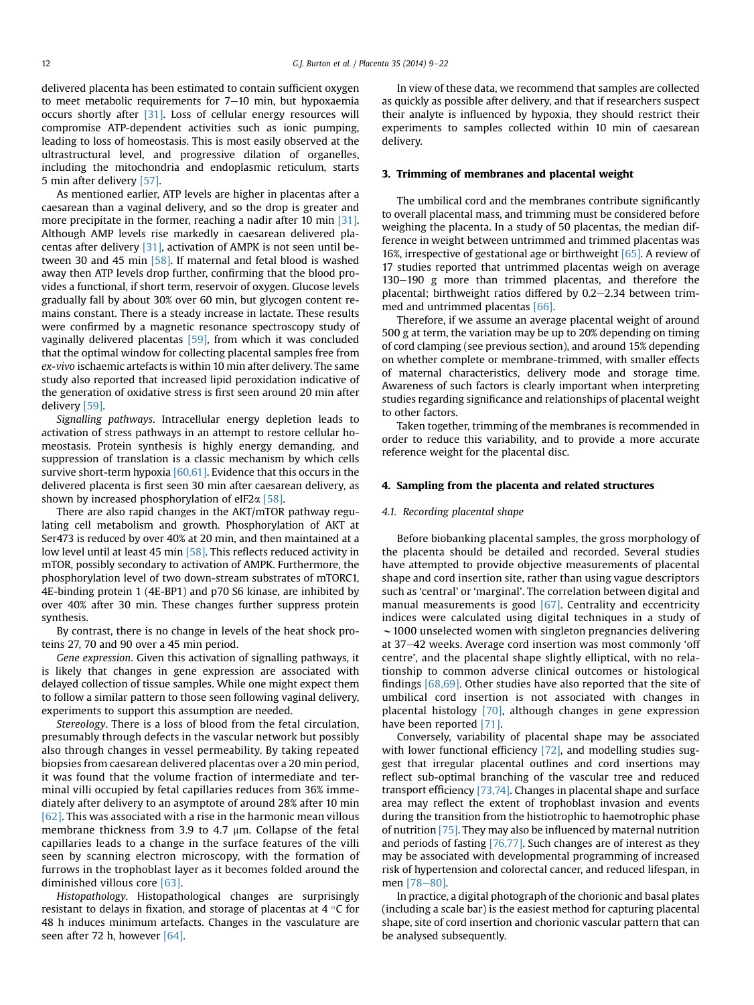delivered placenta has been estimated to contain sufficient oxygen to meet metabolic requirements for  $7-10$  min, but hypoxaemia occurs shortly after [\[31\].](#page-11-0) Loss of cellular energy resources will compromise ATP-dependent activities such as ionic pumping, leading to loss of homeostasis. This is most easily observed at the ultrastructural level, and progressive dilation of organelles, including the mitochondria and endoplasmic reticulum, starts 5 min after delivery [\[57\].](#page-11-0)

As mentioned earlier, ATP levels are higher in placentas after a caesarean than a vaginal delivery, and so the drop is greater and more precipitate in the former, reaching a nadir after 10 min [\[31\].](#page-11-0) Although AMP levels rise markedly in caesarean delivered placentas after delivery [\[31\],](#page-11-0) activation of AMPK is not seen until be-tween 30 and 45 min [\[58\].](#page-11-0) If maternal and fetal blood is washed away then ATP levels drop further, confirming that the blood provides a functional, if short term, reservoir of oxygen. Glucose levels gradually fall by about 30% over 60 min, but glycogen content remains constant. There is a steady increase in lactate. These results were confirmed by a magnetic resonance spectroscopy study of vaginally delivered placentas [\[59\],](#page-11-0) from which it was concluded that the optimal window for collecting placental samples free from ex-vivo ischaemic artefacts is within 10 min after delivery. The same study also reported that increased lipid peroxidation indicative of the generation of oxidative stress is first seen around 20 min after delivery [\[59\]](#page-11-0).

Signalling pathways. Intracellular energy depletion leads to activation of stress pathways in an attempt to restore cellular homeostasis. Protein synthesis is highly energy demanding, and suppression of translation is a classic mechanism by which cells survive short-term hypoxia  $[60,61]$ . Evidence that this occurs in the delivered placenta is first seen 30 min after caesarean delivery, as shown by increased phosphorylation of eIF2 $\alpha$  [\[58\]](#page-11-0).

There are also rapid changes in the AKT/mTOR pathway regulating cell metabolism and growth. Phosphorylation of AKT at Ser473 is reduced by over 40% at 20 min, and then maintained at a low level until at least 45 min [\[58\]](#page-11-0). This reflects reduced activity in mTOR, possibly secondary to activation of AMPK. Furthermore, the phosphorylation level of two down-stream substrates of mTORC1, 4E-binding protein 1 (4E-BP1) and p70 S6 kinase, are inhibited by over 40% after 30 min. These changes further suppress protein synthesis.

By contrast, there is no change in levels of the heat shock proteins 27, 70 and 90 over a 45 min period.

Gene expression. Given this activation of signalling pathways, it is likely that changes in gene expression are associated with delayed collection of tissue samples. While one might expect them to follow a similar pattern to those seen following vaginal delivery, experiments to support this assumption are needed.

Stereology. There is a loss of blood from the fetal circulation, presumably through defects in the vascular network but possibly also through changes in vessel permeability. By taking repeated biopsies from caesarean delivered placentas over a 20 min period, it was found that the volume fraction of intermediate and terminal villi occupied by fetal capillaries reduces from 36% immediately after delivery to an asymptote of around 28% after 10 min  $[62]$ . This was associated with a rise in the harmonic mean villous membrane thickness from 3.9 to 4.7  $\mu$ m. Collapse of the fetal capillaries leads to a change in the surface features of the villi seen by scanning electron microscopy, with the formation of furrows in the trophoblast layer as it becomes folded around the diminished villous core [\[63\].](#page-12-0)

Histopathology. Histopathological changes are surprisingly resistant to delays in fixation, and storage of placentas at  $4^{\circ}$ C for 48 h induces minimum artefacts. Changes in the vasculature are seen after 72 h, however [\[64\].](#page-12-0)

In view of these data, we recommend that samples are collected as quickly as possible after delivery, and that if researchers suspect their analyte is influenced by hypoxia, they should restrict their experiments to samples collected within 10 min of caesarean delivery.

## 3. Trimming of membranes and placental weight

The umbilical cord and the membranes contribute significantly to overall placental mass, and trimming must be considered before weighing the placenta. In a study of 50 placentas, the median difference in weight between untrimmed and trimmed placentas was 16%, irrespective of gestational age or birthweight [\[65\]](#page-12-0). A review of 17 studies reported that untrimmed placentas weigh on average  $130-190$  g more than trimmed placentas, and therefore the placental; birthweight ratios differed by  $0.2-2.34$  between trimmed and untrimmed placentas [\[66\].](#page-12-0)

Therefore, if we assume an average placental weight of around 500 g at term, the variation may be up to 20% depending on timing of cord clamping (see previous section), and around 15% depending on whether complete or membrane-trimmed, with smaller effects of maternal characteristics, delivery mode and storage time. Awareness of such factors is clearly important when interpreting studies regarding significance and relationships of placental weight to other factors.

Taken together, trimming of the membranes is recommended in order to reduce this variability, and to provide a more accurate reference weight for the placental disc.

### 4. Sampling from the placenta and related structures

### 4.1. Recording placental shape

Before biobanking placental samples, the gross morphology of the placenta should be detailed and recorded. Several studies have attempted to provide objective measurements of placental shape and cord insertion site, rather than using vague descriptors such as 'central' or 'marginal'. The correlation between digital and manual measurements is good  $[67]$ . Centrality and eccentricity indices were calculated using digital techniques in a study of  $\sim$  1000 unselected women with singleton pregnancies delivering at 37–42 weeks. Average cord insertion was most commonly 'off centre', and the placental shape slightly elliptical, with no relationship to common adverse clinical outcomes or histological findings [\[68,69\]](#page-12-0). Other studies have also reported that the site of umbilical cord insertion is not associated with changes in placental histology [\[70\],](#page-12-0) although changes in gene expression have been reported [\[71\]](#page-12-0).

Conversely, variability of placental shape may be associated with lower functional efficiency [\[72\],](#page-12-0) and modelling studies suggest that irregular placental outlines and cord insertions may reflect sub-optimal branching of the vascular tree and reduced transport efficiency [\[73,74\].](#page-12-0) Changes in placental shape and surface area may reflect the extent of trophoblast invasion and events during the transition from the histiotrophic to haemotrophic phase of nutrition [\[75\].](#page-12-0) They may also be influenced by maternal nutrition and periods of fasting [\[76,77\].](#page-12-0) Such changes are of interest as they may be associated with developmental programming of increased risk of hypertension and colorectal cancer, and reduced lifespan, in men [\[78](#page-12-0)-[80\]](#page-12-0).

In practice, a digital photograph of the chorionic and basal plates (including a scale bar) is the easiest method for capturing placental shape, site of cord insertion and chorionic vascular pattern that can be analysed subsequently.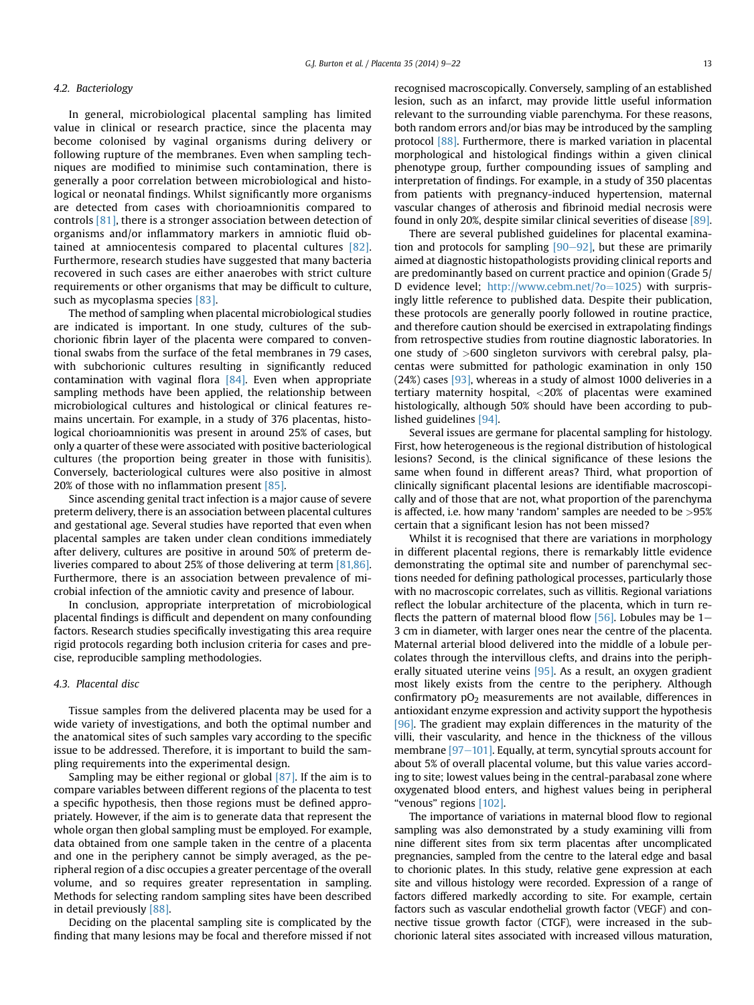#### 4.2. Bacteriology

In general, microbiological placental sampling has limited value in clinical or research practice, since the placenta may become colonised by vaginal organisms during delivery or following rupture of the membranes. Even when sampling techniques are modified to minimise such contamination, there is generally a poor correlation between microbiological and histological or neonatal findings. Whilst significantly more organisms are detected from cases with chorioamnionitis compared to controls [\[81\],](#page-12-0) there is a stronger association between detection of organisms and/or inflammatory markers in amniotic fluid obtained at amniocentesis compared to placental cultures [\[82\].](#page-12-0) Furthermore, research studies have suggested that many bacteria recovered in such cases are either anaerobes with strict culture requirements or other organisms that may be difficult to culture, such as mycoplasma species [\[83\]](#page-12-0).

The method of sampling when placental microbiological studies are indicated is important. In one study, cultures of the subchorionic fibrin layer of the placenta were compared to conventional swabs from the surface of the fetal membranes in 79 cases, with subchorionic cultures resulting in significantly reduced contamination with vaginal flora [\[84\].](#page-12-0) Even when appropriate sampling methods have been applied, the relationship between microbiological cultures and histological or clinical features remains uncertain. For example, in a study of 376 placentas, histological chorioamnionitis was present in around 25% of cases, but only a quarter of these were associated with positive bacteriological cultures (the proportion being greater in those with funisitis). Conversely, bacteriological cultures were also positive in almost 20% of those with no inflammation present [\[85\]](#page-12-0).

Since ascending genital tract infection is a major cause of severe preterm delivery, there is an association between placental cultures and gestational age. Several studies have reported that even when placental samples are taken under clean conditions immediately after delivery, cultures are positive in around 50% of preterm deliveries compared to about 25% of those delivering at term [\[81,86\].](#page-12-0) Furthermore, there is an association between prevalence of microbial infection of the amniotic cavity and presence of labour.

In conclusion, appropriate interpretation of microbiological placental findings is difficult and dependent on many confounding factors. Research studies specifically investigating this area require rigid protocols regarding both inclusion criteria for cases and precise, reproducible sampling methodologies.

## 4.3. Placental disc

Tissue samples from the delivered placenta may be used for a wide variety of investigations, and both the optimal number and the anatomical sites of such samples vary according to the specific issue to be addressed. Therefore, it is important to build the sampling requirements into the experimental design.

Sampling may be either regional or global  $[87]$ . If the aim is to compare variables between different regions of the placenta to test a specific hypothesis, then those regions must be defined appropriately. However, if the aim is to generate data that represent the whole organ then global sampling must be employed. For example, data obtained from one sample taken in the centre of a placenta and one in the periphery cannot be simply averaged, as the peripheral region of a disc occupies a greater percentage of the overall volume, and so requires greater representation in sampling. Methods for selecting random sampling sites have been described in detail previously [\[88\]](#page-12-0).

Deciding on the placental sampling site is complicated by the finding that many lesions may be focal and therefore missed if not recognised macroscopically. Conversely, sampling of an established lesion, such as an infarct, may provide little useful information relevant to the surrounding viable parenchyma. For these reasons, both random errors and/or bias may be introduced by the sampling protocol [\[88\].](#page-12-0) Furthermore, there is marked variation in placental morphological and histological findings within a given clinical phenotype group, further compounding issues of sampling and interpretation of findings. For example, in a study of 350 placentas from patients with pregnancy-induced hypertension, maternal vascular changes of atherosis and fibrinoid medial necrosis were found in only 20%, despite similar clinical severities of disease [\[89\].](#page-12-0)

There are several published guidelines for placental examination and protocols for sampling  $[90-92]$  $[90-92]$  $[90-92]$ , but these are primarily aimed at diagnostic histopathologists providing clinical reports and are predominantly based on current practice and opinion (Grade 5/ D evidence level; [http://www.cebm.net/?o](http://www.cebm.net/?o=1025)=[1025\)](http://www.cebm.net/?o=1025) with surprisingly little reference to published data. Despite their publication, these protocols are generally poorly followed in routine practice, and therefore caution should be exercised in extrapolating findings from retrospective studies from routine diagnostic laboratories. In one study of  $>600$  singleton survivors with cerebral palsy, placentas were submitted for pathologic examination in only 150  $(24%)$  cases  $[93]$ , whereas in a study of almost 1000 deliveries in a tertiary maternity hospital, <20% of placentas were examined histologically, although 50% should have been according to published guidelines [\[94\]](#page-12-0).

Several issues are germane for placental sampling for histology. First, how heterogeneous is the regional distribution of histological lesions? Second, is the clinical significance of these lesions the same when found in different areas? Third, what proportion of clinically significant placental lesions are identifiable macroscopically and of those that are not, what proportion of the parenchyma is affected, i.e. how many 'random' samples are needed to be >95% certain that a significant lesion has not been missed?

Whilst it is recognised that there are variations in morphology in different placental regions, there is remarkably little evidence demonstrating the optimal site and number of parenchymal sections needed for defining pathological processes, particularly those with no macroscopic correlates, such as villitis. Regional variations reflect the lobular architecture of the placenta, which in turn re-flects the pattern of maternal blood flow [\[56\]](#page-11-0). Lobules may be  $1-$ 3 cm in diameter, with larger ones near the centre of the placenta. Maternal arterial blood delivered into the middle of a lobule percolates through the intervillous clefts, and drains into the periph-erally situated uterine veins [\[95\]](#page-12-0). As a result, an oxygen gradient most likely exists from the centre to the periphery. Although confirmatory  $pO<sub>2</sub>$  measurements are not available, differences in antioxidant enzyme expression and activity support the hypothesis [\[96\].](#page-12-0) The gradient may explain differences in the maturity of the villi, their vascularity, and hence in the thickness of the villous membrane  $[97-101]$  $[97-101]$  $[97-101]$ . Equally, at term, syncytial sprouts account for about 5% of overall placental volume, but this value varies according to site; lowest values being in the central-parabasal zone where oxygenated blood enters, and highest values being in peripheral "venous" regions [\[102\].](#page-12-0)

The importance of variations in maternal blood flow to regional sampling was also demonstrated by a study examining villi from nine different sites from six term placentas after uncomplicated pregnancies, sampled from the centre to the lateral edge and basal to chorionic plates. In this study, relative gene expression at each site and villous histology were recorded. Expression of a range of factors differed markedly according to site. For example, certain factors such as vascular endothelial growth factor (VEGF) and connective tissue growth factor (CTGF), were increased in the subchorionic lateral sites associated with increased villous maturation,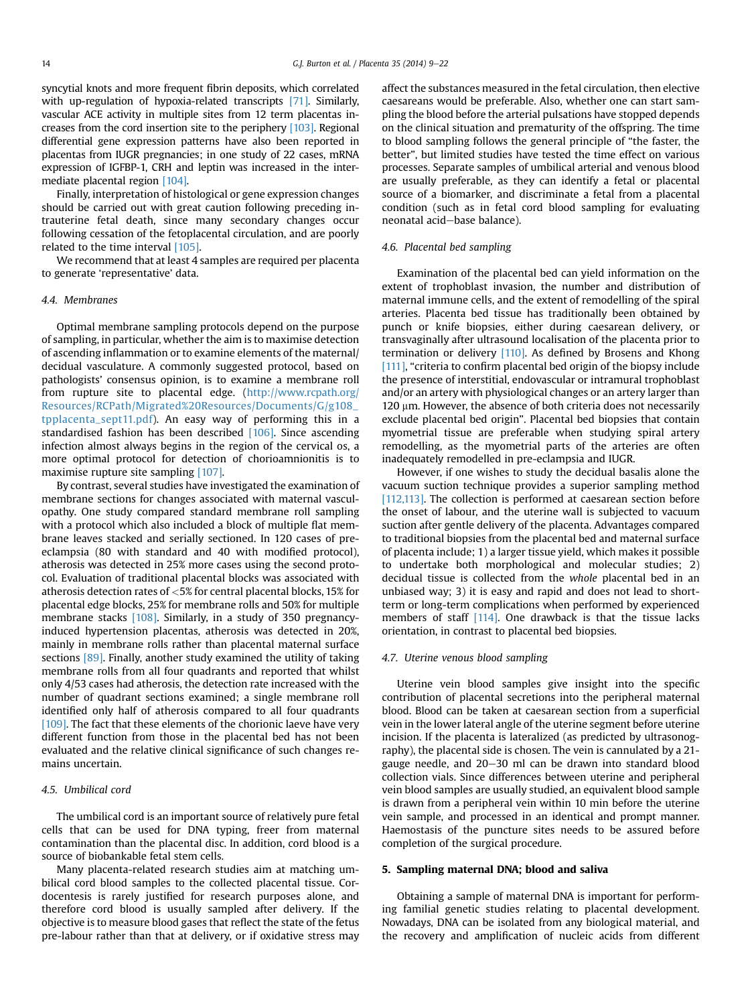syncytial knots and more frequent fibrin deposits, which correlated with up-regulation of hypoxia-related transcripts [\[71\]](#page-12-0). Similarly, vascular ACE activity in multiple sites from 12 term placentas increases from the cord insertion site to the periphery [\[103\].](#page-12-0) Regional differential gene expression patterns have also been reported in placentas from IUGR pregnancies; in one study of 22 cases, mRNA expression of IGFBP-1, CRH and leptin was increased in the intermediate placental region [\[104\]](#page-12-0).

Finally, interpretation of histological or gene expression changes should be carried out with great caution following preceding intrauterine fetal death, since many secondary changes occur following cessation of the fetoplacental circulation, and are poorly related to the time interval [\[105\]](#page-12-0).

We recommend that at least 4 samples are required per placenta to generate 'representative' data.

#### 4.4. Membranes

Optimal membrane sampling protocols depend on the purpose of sampling, in particular, whether the aim is to maximise detection of ascending inflammation or to examine elements of the maternal/ decidual vasculature. A commonly suggested protocol, based on pathologists' consensus opinion, is to examine a membrane roll from rupture site to placental edge. [\(http://www.rcpath.org/](http://www.rcpath.org/Resources/RCPath/Migrated%20Resources/Documents/G/g108_tpplacenta_sept11.pdf) [Resources/RCPath/Migrated%20Resources/Documents/G/g108\\_](http://www.rcpath.org/Resources/RCPath/Migrated%20Resources/Documents/G/g108_tpplacenta_sept11.pdf) [tpplacenta\\_sept11.pdf\)](http://www.rcpath.org/Resources/RCPath/Migrated%20Resources/Documents/G/g108_tpplacenta_sept11.pdf). An easy way of performing this in a standardised fashion has been described [\[106\]](#page-12-0). Since ascending infection almost always begins in the region of the cervical os, a more optimal protocol for detection of chorioamnionitis is to maximise rupture site sampling [\[107\].](#page-12-0)

By contrast, several studies have investigated the examination of membrane sections for changes associated with maternal vasculopathy. One study compared standard membrane roll sampling with a protocol which also included a block of multiple flat membrane leaves stacked and serially sectioned. In 120 cases of preeclampsia (80 with standard and 40 with modified protocol), atherosis was detected in 25% more cases using the second protocol. Evaluation of traditional placental blocks was associated with atherosis detection rates of <5% for central placental blocks, 15% for placental edge blocks, 25% for membrane rolls and 50% for multiple membrane stacks [\[108\].](#page-12-0) Similarly, in a study of 350 pregnancyinduced hypertension placentas, atherosis was detected in 20%, mainly in membrane rolls rather than placental maternal surface sections [\[89\]](#page-12-0). Finally, another study examined the utility of taking membrane rolls from all four quadrants and reported that whilst only 4/53 cases had atherosis, the detection rate increased with the number of quadrant sections examined; a single membrane roll identified only half of atherosis compared to all four quadrants [\[109\]](#page-12-0). The fact that these elements of the chorionic laeve have very different function from those in the placental bed has not been evaluated and the relative clinical significance of such changes remains uncertain.

## 4.5. Umbilical cord

The umbilical cord is an important source of relatively pure fetal cells that can be used for DNA typing, freer from maternal contamination than the placental disc. In addition, cord blood is a source of biobankable fetal stem cells.

Many placenta-related research studies aim at matching umbilical cord blood samples to the collected placental tissue. Cordocentesis is rarely justified for research purposes alone, and therefore cord blood is usually sampled after delivery. If the objective is to measure blood gases that reflect the state of the fetus pre-labour rather than that at delivery, or if oxidative stress may affect the substances measured in the fetal circulation, then elective caesareans would be preferable. Also, whether one can start sampling the blood before the arterial pulsations have stopped depends on the clinical situation and prematurity of the offspring. The time to blood sampling follows the general principle of "the faster, the better", but limited studies have tested the time effect on various processes. Separate samples of umbilical arterial and venous blood are usually preferable, as they can identify a fetal or placental source of a biomarker, and discriminate a fetal from a placental condition (such as in fetal cord blood sampling for evaluating neonatal acid-base balance).

### 4.6. Placental bed sampling

Examination of the placental bed can yield information on the extent of trophoblast invasion, the number and distribution of maternal immune cells, and the extent of remodelling of the spiral arteries. Placenta bed tissue has traditionally been obtained by punch or knife biopsies, either during caesarean delivery, or transvaginally after ultrasound localisation of the placenta prior to termination or delivery [\[110\].](#page-12-0) As defined by Brosens and Khong [\[111\]](#page-12-0), "criteria to confirm placental bed origin of the biopsy include the presence of interstitial, endovascular or intramural trophoblast and/or an artery with physiological changes or an artery larger than  $120 \mu$ m. However, the absence of both criteria does not necessarily exclude placental bed origin". Placental bed biopsies that contain myometrial tissue are preferable when studying spiral artery remodelling, as the myometrial parts of the arteries are often inadequately remodelled in pre-eclampsia and IUGR.

However, if one wishes to study the decidual basalis alone the vacuum suction technique provides a superior sampling method [\[112,113\].](#page-12-0) The collection is performed at caesarean section before the onset of labour, and the uterine wall is subjected to vacuum suction after gentle delivery of the placenta. Advantages compared to traditional biopsies from the placental bed and maternal surface of placenta include; 1) a larger tissue yield, which makes it possible to undertake both morphological and molecular studies; 2) decidual tissue is collected from the whole placental bed in an unbiased way; 3) it is easy and rapid and does not lead to shortterm or long-term complications when performed by experienced members of staff [\[114\]](#page-12-0). One drawback is that the tissue lacks orientation, in contrast to placental bed biopsies.

#### 4.7. Uterine venous blood sampling

Uterine vein blood samples give insight into the specific contribution of placental secretions into the peripheral maternal blood. Blood can be taken at caesarean section from a superficial vein in the lower lateral angle of the uterine segment before uterine incision. If the placenta is lateralized (as predicted by ultrasonography), the placental side is chosen. The vein is cannulated by a 21 gauge needle, and 20–30 ml can be drawn into standard blood collection vials. Since differences between uterine and peripheral vein blood samples are usually studied, an equivalent blood sample is drawn from a peripheral vein within 10 min before the uterine vein sample, and processed in an identical and prompt manner. Haemostasis of the puncture sites needs to be assured before completion of the surgical procedure.

### 5. Sampling maternal DNA; blood and saliva

Obtaining a sample of maternal DNA is important for performing familial genetic studies relating to placental development. Nowadays, DNA can be isolated from any biological material, and the recovery and amplification of nucleic acids from different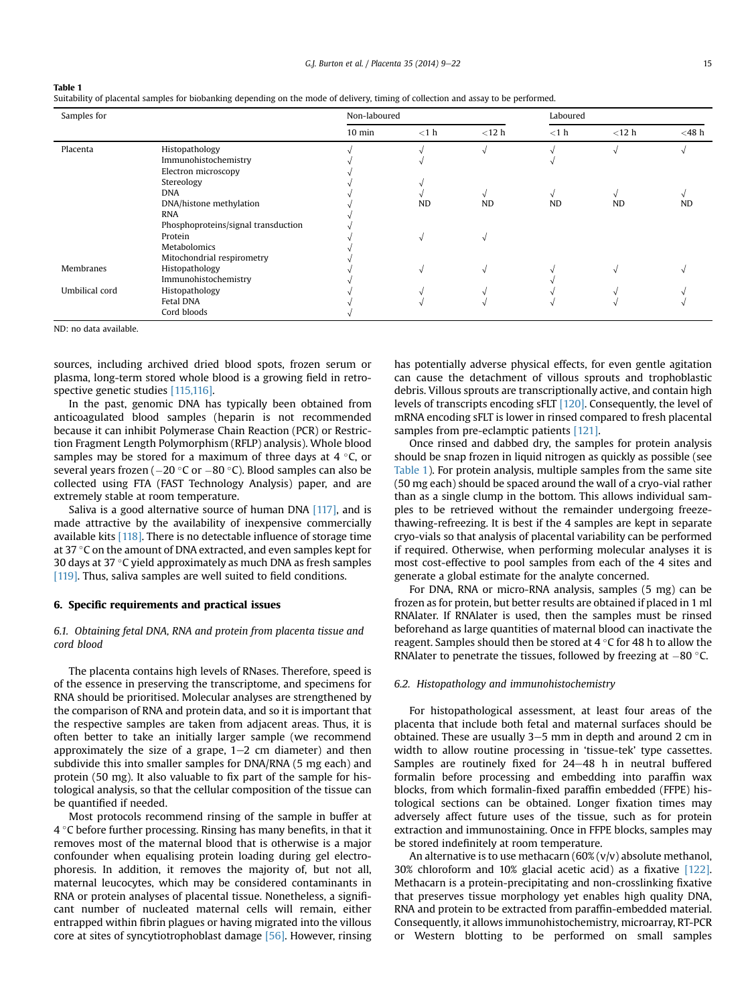<span id="page-6-0"></span>Table 1

|  |  |  |  |  | Suitability of placental samples for biobanking depending on the mode of delivery, timing of collection and assay to be performed. |
|--|--|--|--|--|------------------------------------------------------------------------------------------------------------------------------------|
|--|--|--|--|--|------------------------------------------------------------------------------------------------------------------------------------|

| Samples for    |                                     | Non-laboured     |           |            | Laboured  |           |           |
|----------------|-------------------------------------|------------------|-----------|------------|-----------|-----------|-----------|
|                |                                     | $10 \text{ min}$ | $<$ 1 h   | $<$ 12 $h$ | $<$ 1 h   | $<$ 12 h  | $<$ 48 h  |
| Placenta       | Histopathology                      |                  |           |            |           |           |           |
|                | Immunohistochemistry                |                  |           |            |           |           |           |
|                | Electron microscopy                 |                  |           |            |           |           |           |
|                | Stereology                          |                  |           |            |           |           |           |
|                | <b>DNA</b>                          |                  |           |            |           |           |           |
|                | DNA/histone methylation             |                  | <b>ND</b> | <b>ND</b>  | <b>ND</b> | <b>ND</b> | <b>ND</b> |
|                | <b>RNA</b>                          |                  |           |            |           |           |           |
|                | Phosphoproteins/signal transduction |                  |           |            |           |           |           |
|                | Protein                             |                  |           |            |           |           |           |
|                | Metabolomics                        |                  |           |            |           |           |           |
|                | Mitochondrial respirometry          |                  |           |            |           |           |           |
| Membranes      | Histopathology                      |                  |           |            |           |           |           |
|                | Immunohistochemistry                |                  |           |            |           |           |           |
| Umbilical cord | Histopathology                      |                  |           |            |           |           |           |
|                | Fetal DNA                           |                  |           |            |           |           |           |
|                | Cord bloods                         |                  |           |            |           |           |           |

ND: no data available.

sources, including archived dried blood spots, frozen serum or plasma, long-term stored whole blood is a growing field in retrospective genetic studies [\[115,116\].](#page-12-0)

In the past, genomic DNA has typically been obtained from anticoagulated blood samples (heparin is not recommended because it can inhibit Polymerase Chain Reaction (PCR) or Restriction Fragment Length Polymorphism (RFLP) analysis). Whole blood samples may be stored for a maximum of three days at  $4 \degree C$ , or several years frozen ( $-20$  °C or  $-80$  °C). Blood samples can also be collected using FTA (FAST Technology Analysis) paper, and are extremely stable at room temperature.

Saliva is a good alternative source of human DNA [\[117\],](#page-12-0) and is made attractive by the availability of inexpensive commercially available kits [\[118\].](#page-12-0) There is no detectable influence of storage time at 37 °C on the amount of DNA extracted, and even samples kept for 30 days at 37 $\degree$ C yield approximately as much DNA as fresh samples [\[119\]](#page-12-0). Thus, saliva samples are well suited to field conditions.

## 6. Specific requirements and practical issues

## 6.1. Obtaining fetal DNA, RNA and protein from placenta tissue and cord blood

The placenta contains high levels of RNases. Therefore, speed is of the essence in preserving the transcriptome, and specimens for RNA should be prioritised. Molecular analyses are strengthened by the comparison of RNA and protein data, and so it is important that the respective samples are taken from adjacent areas. Thus, it is often better to take an initially larger sample (we recommend approximately the size of a grape,  $1-2$  cm diameter) and then subdivide this into smaller samples for DNA/RNA (5 mg each) and protein (50 mg). It also valuable to fix part of the sample for histological analysis, so that the cellular composition of the tissue can be quantified if needed.

Most protocols recommend rinsing of the sample in buffer at  $4^{\circ}$ C before further processing. Rinsing has many benefits, in that it removes most of the maternal blood that is otherwise is a major confounder when equalising protein loading during gel electrophoresis. In addition, it removes the majority of, but not all, maternal leucocytes, which may be considered contaminants in RNA or protein analyses of placental tissue. Nonetheless, a significant number of nucleated maternal cells will remain, either entrapped within fibrin plagues or having migrated into the villous core at sites of syncytiotrophoblast damage [\[56\].](#page-11-0) However, rinsing has potentially adverse physical effects, for even gentle agitation can cause the detachment of villous sprouts and trophoblastic debris. Villous sprouts are transcriptionally active, and contain high levels of transcripts encoding sFLT [\[120\].](#page-12-0) Consequently, the level of mRNA encoding sFLT is lower in rinsed compared to fresh placental samples from pre-eclamptic patients [\[121\].](#page-13-0)

Once rinsed and dabbed dry, the samples for protein analysis should be snap frozen in liquid nitrogen as quickly as possible (see Table 1). For protein analysis, multiple samples from the same site (50 mg each) should be spaced around the wall of a cryo-vial rather than as a single clump in the bottom. This allows individual samples to be retrieved without the remainder undergoing freezethawing-refreezing. It is best if the 4 samples are kept in separate cryo-vials so that analysis of placental variability can be performed if required. Otherwise, when performing molecular analyses it is most cost-effective to pool samples from each of the 4 sites and generate a global estimate for the analyte concerned.

For DNA, RNA or micro-RNA analysis, samples (5 mg) can be frozen as for protein, but better results are obtained if placed in 1 ml RNAlater. If RNAlater is used, then the samples must be rinsed beforehand as large quantities of maternal blood can inactivate the reagent. Samples should then be stored at  $4^{\circ}$ C for 48 h to allow the RNAlater to penetrate the tissues, followed by freezing at  $-80$  °C.

### 6.2. Histopathology and immunohistochemistry

For histopathological assessment, at least four areas of the placenta that include both fetal and maternal surfaces should be obtained. These are usually  $3-5$  mm in depth and around 2 cm in width to allow routine processing in 'tissue-tek' type cassettes. Samples are routinely fixed for  $24-48$  h in neutral buffered formalin before processing and embedding into paraffin wax blocks, from which formalin-fixed paraffin embedded (FFPE) histological sections can be obtained. Longer fixation times may adversely affect future uses of the tissue, such as for protein extraction and immunostaining. Once in FFPE blocks, samples may be stored indefinitely at room temperature.

An alternative is to use methacarn  $(60\% (v/v))$  absolute methanol, 30% chloroform and 10% glacial acetic acid) as a fixative [\[122\].](#page-13-0) Methacarn is a protein-precipitating and non-crosslinking fixative that preserves tissue morphology yet enables high quality DNA, RNA and protein to be extracted from paraffin-embedded material. Consequently, it allows immunohistochemistry, microarray, RT-PCR or Western blotting to be performed on small samples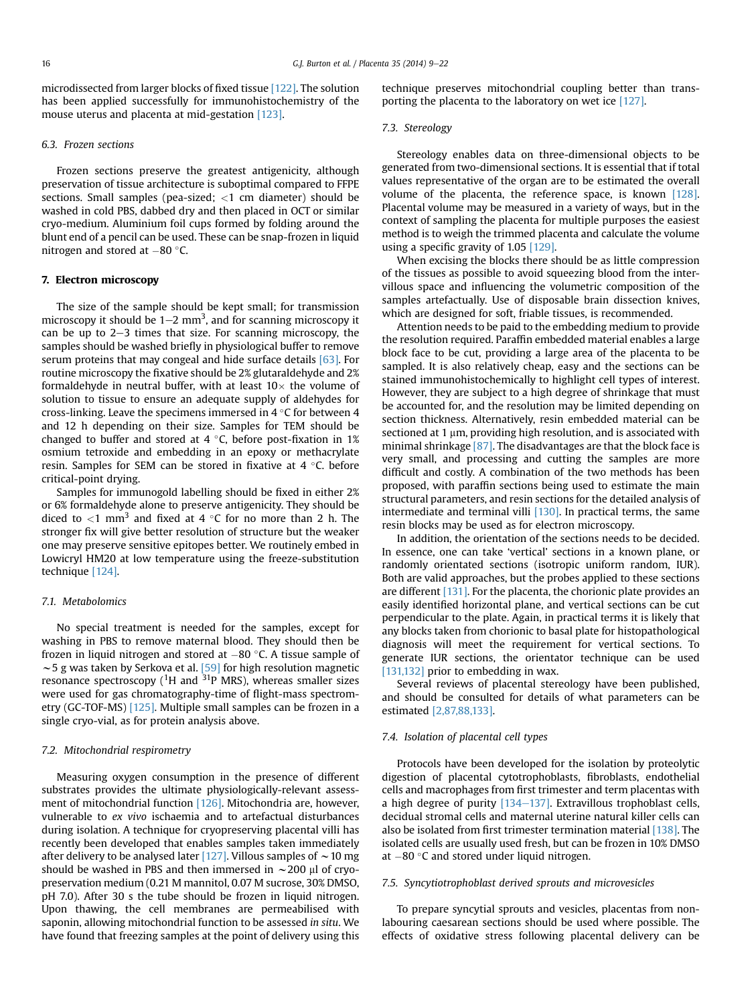microdissected from larger blocks of fixed tissue [\[122\].](#page-13-0) The solution has been applied successfully for immunohistochemistry of the mouse uterus and placenta at mid-gestation [\[123\].](#page-13-0)

## 6.3. Frozen sections

Frozen sections preserve the greatest antigenicity, although preservation of tissue architecture is suboptimal compared to FFPE sections. Small samples (pea-sized; <1 cm diameter) should be washed in cold PBS, dabbed dry and then placed in OCT or similar cryo-medium. Aluminium foil cups formed by folding around the blunt end of a pencil can be used. These can be snap-frozen in liquid nitrogen and stored at  $-80$  °C.

### 7. Electron microscopy

The size of the sample should be kept small; for transmission microscopy it should be  $1-2$  mm<sup>3</sup>, and for scanning microscopy it can be up to  $2-3$  times that size. For scanning microscopy, the samples should be washed briefly in physiological buffer to remove serum proteins that may congeal and hide surface details [\[63\]](#page-12-0). For routine microscopy the fixative should be 2% glutaraldehyde and 2% formaldehyde in neutral buffer, with at least  $10\times$  the volume of solution to tissue to ensure an adequate supply of aldehydes for cross-linking. Leave the specimens immersed in 4  $\degree$ C for between 4 and 12 h depending on their size. Samples for TEM should be changed to buffer and stored at 4  $\degree$ C, before post-fixation in 1% osmium tetroxide and embedding in an epoxy or methacrylate resin. Samples for SEM can be stored in fixative at  $4^{\circ}$ C. before critical-point drying.

Samples for immunogold labelling should be fixed in either 2% or 6% formaldehyde alone to preserve antigenicity. They should be diced to  $\langle 1 \text{ mm}^3$  and fixed at 4 °C for no more than 2 h. The stronger fix will give better resolution of structure but the weaker one may preserve sensitive epitopes better. We routinely embed in Lowicryl HM20 at low temperature using the freeze-substitution technique [\[124\]](#page-13-0).

## 7.1. Metabolomics

No special treatment is needed for the samples, except for washing in PBS to remove maternal blood. They should then be frozen in liquid nitrogen and stored at  $-80$  °C. A tissue sample of  $\sim$  5 g was taken by Serkova et al. [\[59\]](#page-11-0) for high resolution magnetic resonance spectroscopy (<sup>1</sup>H and <sup>31</sup>P MRS), whereas smaller sizes were used for gas chromatography-time of flight-mass spectrometry (GC-TOF-MS) [\[125\]](#page-13-0). Multiple small samples can be frozen in a single cryo-vial, as for protein analysis above.

## 7.2. Mitochondrial respirometry

Measuring oxygen consumption in the presence of different substrates provides the ultimate physiologically-relevant assess-ment of mitochondrial function [\[126\]](#page-13-0). Mitochondria are, however, vulnerable to ex vivo ischaemia and to artefactual disturbances during isolation. A technique for cryopreserving placental villi has recently been developed that enables samples taken immediately after delivery to be analysed later [\[127\]](#page-13-0). Villous samples of  $\sim$  10 mg should be washed in PBS and then immersed in  $\sim$  200 µl of cryopreservation medium (0.21 M mannitol, 0.07 M sucrose, 30% DMSO, pH 7.0). After 30 s the tube should be frozen in liquid nitrogen. Upon thawing, the cell membranes are permeabilised with saponin, allowing mitochondrial function to be assessed in situ. We have found that freezing samples at the point of delivery using this technique preserves mitochondrial coupling better than transporting the placenta to the laboratory on wet ice [\[127\].](#page-13-0)

## 7.3. Stereology

Stereology enables data on three-dimensional objects to be generated from two-dimensional sections. It is essential that if total values representative of the organ are to be estimated the overall volume of the placenta, the reference space, is known [\[128\].](#page-13-0) Placental volume may be measured in a variety of ways, but in the context of sampling the placenta for multiple purposes the easiest method is to weigh the trimmed placenta and calculate the volume using a specific gravity of 1.05 [\[129\]](#page-13-0).

When excising the blocks there should be as little compression of the tissues as possible to avoid squeezing blood from the intervillous space and influencing the volumetric composition of the samples artefactually. Use of disposable brain dissection knives, which are designed for soft, friable tissues, is recommended.

Attention needs to be paid to the embedding medium to provide the resolution required. Paraffin embedded material enables a large block face to be cut, providing a large area of the placenta to be sampled. It is also relatively cheap, easy and the sections can be stained immunohistochemically to highlight cell types of interest. However, they are subject to a high degree of shrinkage that must be accounted for, and the resolution may be limited depending on section thickness. Alternatively, resin embedded material can be sectioned at 1  $\mu$ m, providing high resolution, and is associated with minimal shrinkage [\[87\]](#page-12-0). The disadvantages are that the block face is very small, and processing and cutting the samples are more difficult and costly. A combination of the two methods has been proposed, with paraffin sections being used to estimate the main structural parameters, and resin sections for the detailed analysis of intermediate and terminal villi  $[130]$ . In practical terms, the same resin blocks may be used as for electron microscopy.

In addition, the orientation of the sections needs to be decided. In essence, one can take 'vertical' sections in a known plane, or randomly orientated sections (isotropic uniform random, IUR). Both are valid approaches, but the probes applied to these sections are different [\[131\]](#page-13-0). For the placenta, the chorionic plate provides an easily identified horizontal plane, and vertical sections can be cut perpendicular to the plate. Again, in practical terms it is likely that any blocks taken from chorionic to basal plate for histopathological diagnosis will meet the requirement for vertical sections. To generate IUR sections, the orientator technique can be used [\[131,132\]](#page-13-0) prior to embedding in wax.

Several reviews of placental stereology have been published, and should be consulted for details of what parameters can be estimated [\[2,87,88,133\]](#page-10-0).

## 7.4. Isolation of placental cell types

Protocols have been developed for the isolation by proteolytic digestion of placental cytotrophoblasts, fibroblasts, endothelial cells and macrophages from first trimester and term placentas with a high degree of purity  $[134-137]$  $[134-137]$  $[134-137]$ . Extravillous trophoblast cells, decidual stromal cells and maternal uterine natural killer cells can also be isolated from first trimester termination material [\[138\]](#page-13-0). The isolated cells are usually used fresh, but can be frozen in 10% DMSO at  $-80$  °C and stored under liquid nitrogen.

### 7.5. Syncytiotrophoblast derived sprouts and microvesicles

To prepare syncytial sprouts and vesicles, placentas from nonlabouring caesarean sections should be used where possible. The effects of oxidative stress following placental delivery can be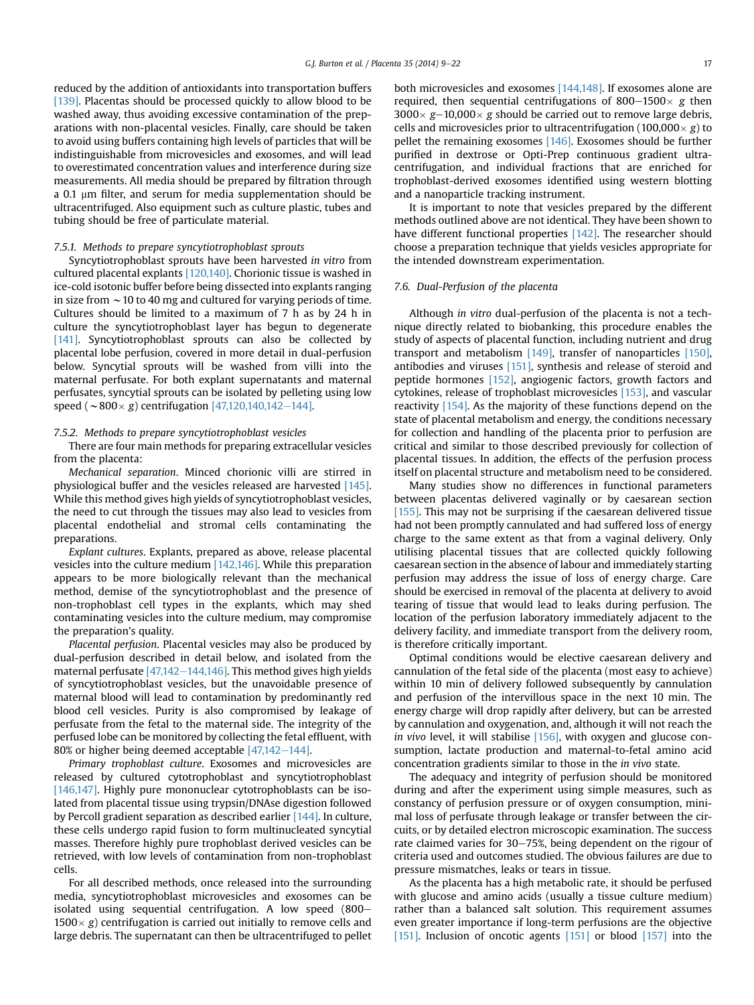reduced by the addition of antioxidants into transportation buffers [\[139\]](#page-13-0). Placentas should be processed quickly to allow blood to be washed away, thus avoiding excessive contamination of the preparations with non-placental vesicles. Finally, care should be taken to avoid using buffers containing high levels of particles that will be indistinguishable from microvesicles and exosomes, and will lead to overestimated concentration values and interference during size measurements. All media should be prepared by filtration through a 0.1  $\mu$ m filter, and serum for media supplementation should be ultracentrifuged. Also equipment such as culture plastic, tubes and tubing should be free of particulate material.

## 7.5.1. Methods to prepare syncytiotrophoblast sprouts

Syncytiotrophoblast sprouts have been harvested in vitro from cultured placental explants [\[120,140\]](#page-12-0). Chorionic tissue is washed in ice-cold isotonic buffer before being dissected into explants ranging in size from  $\sim$  10 to 40 mg and cultured for varying periods of time. Cultures should be limited to a maximum of 7 h as by 24 h in culture the syncytiotrophoblast layer has begun to degenerate [\[141\].](#page-13-0) Syncytiotrophoblast sprouts can also be collected by placental lobe perfusion, covered in more detail in dual-perfusion below. Syncytial sprouts will be washed from villi into the maternal perfusate. For both explant supernatants and maternal perfusates, syncytial sprouts can be isolated by pelleting using low speed ( $\sim$ 800 $\times$  g) centrifugation [\[47,120,140,142](#page-11-0)–[144\].](#page-11-0)

#### 7.5.2. Methods to prepare syncytiotrophoblast vesicles

There are four main methods for preparing extracellular vesicles from the placenta:

Mechanical separation. Minced chorionic villi are stirred in physiological buffer and the vesicles released are harvested [\[145\].](#page-13-0) While this method gives high yields of syncytiotrophoblast vesicles, the need to cut through the tissues may also lead to vesicles from placental endothelial and stromal cells contaminating the preparations.

Explant cultures. Explants, prepared as above, release placental vesicles into the culture medium [\[142,146\].](#page-13-0) While this preparation appears to be more biologically relevant than the mechanical method, demise of the syncytiotrophoblast and the presence of non-trophoblast cell types in the explants, which may shed contaminating vesicles into the culture medium, may compromise the preparation's quality.

Placental perfusion. Placental vesicles may also be produced by dual-perfusion described in detail below, and isolated from the maternal perfusate  $[47,142-144,146]$  $[47,142-144,146]$ . This method gives high yields of syncytiotrophoblast vesicles, but the unavoidable presence of maternal blood will lead to contamination by predominantly red blood cell vesicles. Purity is also compromised by leakage of perfusate from the fetal to the maternal side. The integrity of the perfused lobe can be monitored by collecting the fetal effluent, with 80% or higher being deemed acceptable  $[47,142-144]$  $[47,142-144]$ .

Primary trophoblast culture. Exosomes and microvesicles are released by cultured cytotrophoblast and syncytiotrophoblast [\[146,147\].](#page-13-0) Highly pure mononuclear cytotrophoblasts can be isolated from placental tissue using trypsin/DNAse digestion followed by Percoll gradient separation as described earlier [\[144\]](#page-13-0). In culture, these cells undergo rapid fusion to form multinucleated syncytial masses. Therefore highly pure trophoblast derived vesicles can be retrieved, with low levels of contamination from non-trophoblast cells.

For all described methods, once released into the surrounding media, syncytiotrophoblast microvesicles and exosomes can be isolated using sequential centrifugation. A low speed  $(800 1500 \times g$ ) centrifugation is carried out initially to remove cells and large debris. The supernatant can then be ultracentrifuged to pellet both microvesicles and exosomes [\[144,148\].](#page-13-0) If exosomes alone are required, then sequential centrifugations of 800–1500 $\times$  g then  $3000 \times g - 10,000 \times g$  should be carried out to remove large debris, cells and microvesicles prior to ultracentrifugation (100,000 $\times$  g) to pellet the remaining exosomes [\[146\]](#page-13-0). Exosomes should be further purified in dextrose or Opti-Prep continuous gradient ultracentrifugation, and individual fractions that are enriched for trophoblast-derived exosomes identified using western blotting and a nanoparticle tracking instrument.

It is important to note that vesicles prepared by the different methods outlined above are not identical. They have been shown to have different functional properties [\[142\].](#page-13-0) The researcher should choose a preparation technique that yields vesicles appropriate for the intended downstream experimentation.

#### 7.6. Dual-Perfusion of the placenta

Although in vitro dual-perfusion of the placenta is not a technique directly related to biobanking, this procedure enables the study of aspects of placental function, including nutrient and drug transport and metabolism [\[149\]](#page-13-0), transfer of nanoparticles [\[150\],](#page-13-0) antibodies and viruses [\[151\],](#page-13-0) synthesis and release of steroid and peptide hormones [\[152\],](#page-13-0) angiogenic factors, growth factors and cytokines, release of trophoblast microvesicles [\[153\]](#page-13-0), and vascular reactivity [\[154\]](#page-13-0). As the majority of these functions depend on the state of placental metabolism and energy, the conditions necessary for collection and handling of the placenta prior to perfusion are critical and similar to those described previously for collection of placental tissues. In addition, the effects of the perfusion process itself on placental structure and metabolism need to be considered.

Many studies show no differences in functional parameters between placentas delivered vaginally or by caesarean section [\[155\]](#page-13-0). This may not be surprising if the caesarean delivered tissue had not been promptly cannulated and had suffered loss of energy charge to the same extent as that from a vaginal delivery. Only utilising placental tissues that are collected quickly following caesarean section in the absence of labour and immediately starting perfusion may address the issue of loss of energy charge. Care should be exercised in removal of the placenta at delivery to avoid tearing of tissue that would lead to leaks during perfusion. The location of the perfusion laboratory immediately adjacent to the delivery facility, and immediate transport from the delivery room, is therefore critically important.

Optimal conditions would be elective caesarean delivery and cannulation of the fetal side of the placenta (most easy to achieve) within 10 min of delivery followed subsequently by cannulation and perfusion of the intervillous space in the next 10 min. The energy charge will drop rapidly after delivery, but can be arrested by cannulation and oxygenation, and, although it will not reach the in vivo level, it will stabilise  $[156]$ , with oxygen and glucose consumption, lactate production and maternal-to-fetal amino acid concentration gradients similar to those in the in vivo state.

The adequacy and integrity of perfusion should be monitored during and after the experiment using simple measures, such as constancy of perfusion pressure or of oxygen consumption, minimal loss of perfusate through leakage or transfer between the circuits, or by detailed electron microscopic examination. The success rate claimed varies for  $30-75$ %, being dependent on the rigour of criteria used and outcomes studied. The obvious failures are due to pressure mismatches, leaks or tears in tissue.

As the placenta has a high metabolic rate, it should be perfused with glucose and amino acids (usually a tissue culture medium) rather than a balanced salt solution. This requirement assumes even greater importance if long-term perfusions are the objective [\[151\].](#page-13-0) Inclusion of oncotic agents [\[151\]](#page-13-0) or blood [\[157\]](#page-13-0) into the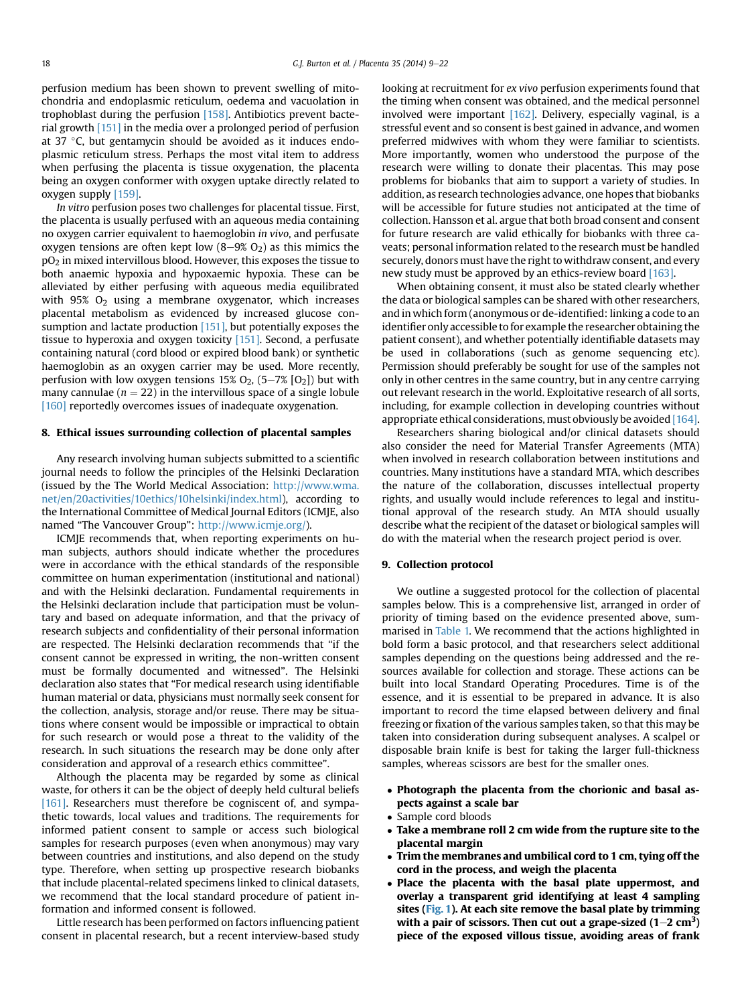perfusion medium has been shown to prevent swelling of mitochondria and endoplasmic reticulum, oedema and vacuolation in trophoblast during the perfusion [\[158\]](#page-13-0). Antibiotics prevent bacterial growth [\[151\]](#page-13-0) in the media over a prolonged period of perfusion at 37 $\degree$ C, but gentamycin should be avoided as it induces endoplasmic reticulum stress. Perhaps the most vital item to address when perfusing the placenta is tissue oxygenation, the placenta being an oxygen conformer with oxygen uptake directly related to oxygen supply [\[159\].](#page-13-0)

In vitro perfusion poses two challenges for placental tissue. First, the placenta is usually perfused with an aqueous media containing no oxygen carrier equivalent to haemoglobin in vivo, and perfusate oxygen tensions are often kept low  $(8-9\%)$  as this mimics the  $pO<sub>2</sub>$  in mixed intervillous blood. However, this exposes the tissue to both anaemic hypoxia and hypoxaemic hypoxia. These can be alleviated by either perfusing with aqueous media equilibrated with 95%  $O_2$  using a membrane oxygenator, which increases placental metabolism as evidenced by increased glucose con-sumption and lactate production [\[151\],](#page-13-0) but potentially exposes the tissue to hyperoxia and oxygen toxicity [\[151\]](#page-13-0). Second, a perfusate containing natural (cord blood or expired blood bank) or synthetic haemoglobin as an oxygen carrier may be used. More recently, perfusion with low oxygen tensions  $15\%$  O<sub>2</sub>,  $(5-7\%$  [O<sub>2</sub>]) but with many cannulae ( $n = 22$ ) in the intervillous space of a single lobule [\[160\]](#page-13-0) reportedly overcomes issues of inadequate oxygenation.

## 8. Ethical issues surrounding collection of placental samples

Any research involving human subjects submitted to a scientific journal needs to follow the principles of the Helsinki Declaration (issued by the The World Medical Association: [http://www.wma.](http://www.wma.net/en/20activities/10ethics/10helsinki/index.html) [net/en/20activities/10ethics/10helsinki/index.html\)](http://www.wma.net/en/20activities/10ethics/10helsinki/index.html), according to the International Committee of Medical Journal Editors (ICMJE, also named "The Vancouver Group": [http://www.icmje.org/\)](http://www.icmje.org/).

ICMJE recommends that, when reporting experiments on human subjects, authors should indicate whether the procedures were in accordance with the ethical standards of the responsible committee on human experimentation (institutional and national) and with the Helsinki declaration. Fundamental requirements in the Helsinki declaration include that participation must be voluntary and based on adequate information, and that the privacy of research subjects and confidentiality of their personal information are respected. The Helsinki declaration recommends that "if the consent cannot be expressed in writing, the non-written consent must be formally documented and witnessed". The Helsinki declaration also states that "For medical research using identifiable human material or data, physicians must normally seek consent for the collection, analysis, storage and/or reuse. There may be situations where consent would be impossible or impractical to obtain for such research or would pose a threat to the validity of the research. In such situations the research may be done only after consideration and approval of a research ethics committee".

Although the placenta may be regarded by some as clinical waste, for others it can be the object of deeply held cultural beliefs [\[161\]](#page-13-0). Researchers must therefore be cogniscent of, and sympathetic towards, local values and traditions. The requirements for informed patient consent to sample or access such biological samples for research purposes (even when anonymous) may vary between countries and institutions, and also depend on the study type. Therefore, when setting up prospective research biobanks that include placental-related specimens linked to clinical datasets, we recommend that the local standard procedure of patient information and informed consent is followed.

Little research has been performed on factors influencing patient consent in placental research, but a recent interview-based study looking at recruitment for ex vivo perfusion experiments found that the timing when consent was obtained, and the medical personnel involved were important [\[162\]](#page-13-0). Delivery, especially vaginal, is a stressful event and so consent is best gained in advance, and women preferred midwives with whom they were familiar to scientists. More importantly, women who understood the purpose of the research were willing to donate their placentas. This may pose problems for biobanks that aim to support a variety of studies. In addition, as research technologies advance, one hopes that biobanks will be accessible for future studies not anticipated at the time of collection. Hansson et al. argue that both broad consent and consent for future research are valid ethically for biobanks with three caveats; personal information related to the research must be handled securely, donors must have the right to withdraw consent, and every new study must be approved by an ethics-review board [\[163\]](#page-13-0).

When obtaining consent, it must also be stated clearly whether the data or biological samples can be shared with other researchers, and in which form (anonymous or de-identified: linking a code to an identifier only accessible to for example the researcher obtaining the patient consent), and whether potentially identifiable datasets may be used in collaborations (such as genome sequencing etc). Permission should preferably be sought for use of the samples not only in other centres in the same country, but in any centre carrying out relevant research in the world. Exploitative research of all sorts, including, for example collection in developing countries without appropriate ethical considerations, must obviously be avoided [\[164\].](#page-13-0)

Researchers sharing biological and/or clinical datasets should also consider the need for Material Transfer Agreements (MTA) when involved in research collaboration between institutions and countries. Many institutions have a standard MTA, which describes the nature of the collaboration, discusses intellectual property rights, and usually would include references to legal and institutional approval of the research study. An MTA should usually describe what the recipient of the dataset or biological samples will do with the material when the research project period is over.

#### 9. Collection protocol

We outline a suggested protocol for the collection of placental samples below. This is a comprehensive list, arranged in order of priority of timing based on the evidence presented above, summarised in [Table 1.](#page-6-0) We recommend that the actions highlighted in bold form a basic protocol, and that researchers select additional samples depending on the questions being addressed and the resources available for collection and storage. These actions can be built into local Standard Operating Procedures. Time is of the essence, and it is essential to be prepared in advance. It is also important to record the time elapsed between delivery and final freezing or fixation of the various samples taken, so that this may be taken into consideration during subsequent analyses. A scalpel or disposable brain knife is best for taking the larger full-thickness samples, whereas scissors are best for the smaller ones.

- Photograph the placenta from the chorionic and basal aspects against a scale bar
- Sample cord bloods
- Take a membrane roll 2 cm wide from the rupture site to the placental margin
- Trim the membranes and umbilical cord to 1 cm, tying off the cord in the process, and weigh the placenta
- Place the placenta with the basal plate uppermost, and overlay a transparent grid identifying at least 4 sampling sites ([Fig. 1\)](#page-10-0). At each site remove the basal plate by trimming with a pair of scissors. Then cut out a grape-sized  $(1-2 \text{ cm}^3)$ piece of the exposed villous tissue, avoiding areas of frank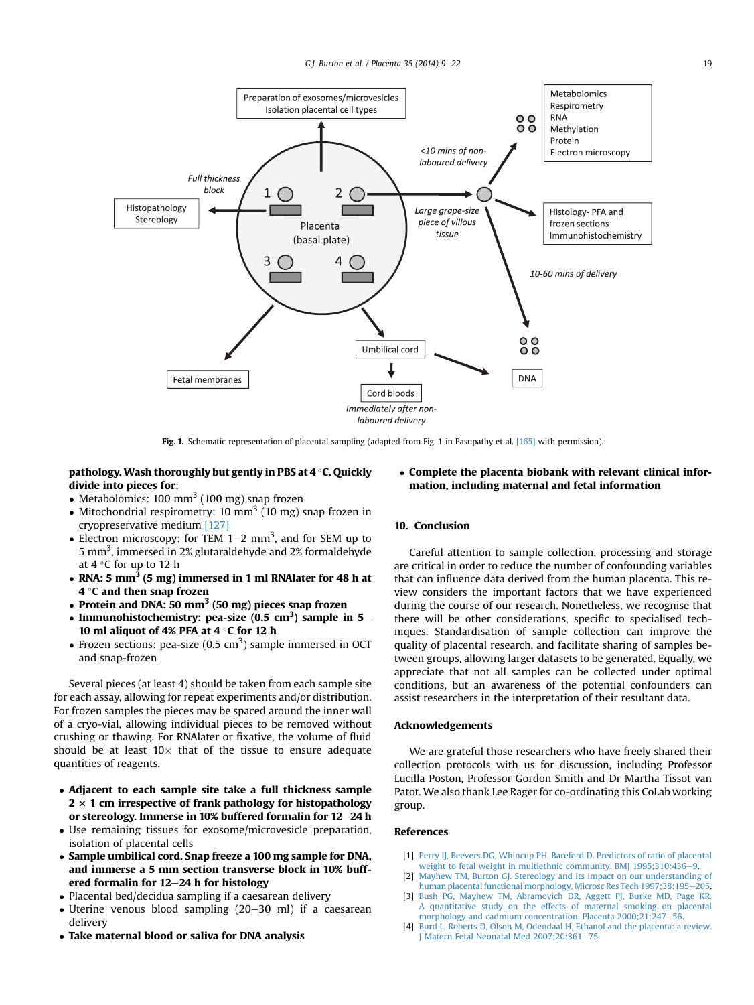<span id="page-10-0"></span>

Fig. 1. Schematic representation of placental sampling (adapted from Fig. 1 in Pasupathy et al. [\[165\]](#page-13-0) with permission).

## pathology. Wash thoroughly but gently in PBS at  $4^{\circ}$ C. Quickly divide into pieces for:

- Metabolomics: 100 mm<sup>3</sup> (100 mg) snap frozen
- Mitochondrial respirometry: 10 mm<sup>3</sup> (10 mg) snap frozen in cryopreservative medium [\[127\]](#page-13-0)
- Electron microscopy: for TEM 1–2 mm<sup>3</sup>, and for SEM up to 5 mm<sup>3</sup>, immersed in 2% glutaraldehyde and 2% formaldehyde at  $4^{\circ}$ C for up to 12 h
- RNA: 5 mm<sup>3</sup> (5 mg) immersed in 1 ml RNAlater for 48 h at 4 °C and then snap frozen
- Protein and DNA: 50 mm<sup>3</sup> (50 mg) pieces snap frozen
- Immunohistochemistry: pea-size (0.5  $\text{cm}^3$ ) sample in 5– 10 ml aliquot of 4% PFA at 4  $\degree$ C for 12 h
- Frozen sections: pea-size (0.5  $\text{cm}^3$ ) sample immersed in OCT and snap-frozen

Several pieces (at least 4) should be taken from each sample site for each assay, allowing for repeat experiments and/or distribution. For frozen samples the pieces may be spaced around the inner wall of a cryo-vial, allowing individual pieces to be removed without crushing or thawing. For RNAlater or fixative, the volume of fluid should be at least  $10\times$  that of the tissue to ensure adequate quantities of reagents.

- Adjacent to each sample site take a full thickness sample  $2 \times 1$  cm irrespective of frank pathology for histopathology or stereology. Immerse in 10% buffered formalin for  $12-24$  h
- Use remaining tissues for exosome/microvesicle preparation, isolation of placental cells
- Sample umbilical cord. Snap freeze a 100 mg sample for DNA, and immerse a 5 mm section transverse block in 10% buffered formalin for  $12-24$  h for histology
- Placental bed/decidua sampling if a caesarean delivery
- $\bullet$  Uterine venous blood sampling (20-30 ml) if a caesarean delivery
- Take maternal blood or saliva for DNA analysis

## Complete the placenta biobank with relevant clinical information, including maternal and fetal information

## 10. Conclusion

Careful attention to sample collection, processing and storage are critical in order to reduce the number of confounding variables that can influence data derived from the human placenta. This review considers the important factors that we have experienced during the course of our research. Nonetheless, we recognise that there will be other considerations, specific to specialised techniques. Standardisation of sample collection can improve the quality of placental research, and facilitate sharing of samples between groups, allowing larger datasets to be generated. Equally, we appreciate that not all samples can be collected under optimal conditions, but an awareness of the potential confounders can assist researchers in the interpretation of their resultant data.

## Acknowledgements

We are grateful those researchers who have freely shared their collection protocols with us for discussion, including Professor Lucilla Poston, Professor Gordon Smith and Dr Martha Tissot van Patot. We also thank Lee Rager for co-ordinating this CoLab working group.

#### References

- [1] [Perry IJ, Beevers DG, Whincup PH, Bareford D. Predictors of ratio of placental](http://refhub.elsevier.com/S0143-4004(13)00798-4/sref1) [weight to fetal weight in multiethnic community. BMJ 1995;310:436](http://refhub.elsevier.com/S0143-4004(13)00798-4/sref1)-[9](http://refhub.elsevier.com/S0143-4004(13)00798-4/sref1).
- [2] [Mayhew TM, Burton GJ. Stereology and its impact on our understanding of](http://refhub.elsevier.com/S0143-4004(13)00798-4/sref2) [human placental functional morphology. Microsc Res Tech 1997;38:195](http://refhub.elsevier.com/S0143-4004(13)00798-4/sref2)-[205](http://refhub.elsevier.com/S0143-4004(13)00798-4/sref2).
- [3] [Bush PG, Mayhew TM, Abramovich DR, Aggett PJ, Burke MD, Page KR.](http://refhub.elsevier.com/S0143-4004(13)00798-4/sref3) [A quantitative study on the effects of maternal smoking on placental](http://refhub.elsevier.com/S0143-4004(13)00798-4/sref3) [morphology and cadmium concentration. Placenta 2000;21:247](http://refhub.elsevier.com/S0143-4004(13)00798-4/sref3)-[56](http://refhub.elsevier.com/S0143-4004(13)00798-4/sref3).
- [4] [Burd L, Roberts D, Olson M, Odendaal H. Ethanol and the placenta: a review.](http://refhub.elsevier.com/S0143-4004(13)00798-4/sref4) [J Matern Fetal Neonatal Med 2007;20:361](http://refhub.elsevier.com/S0143-4004(13)00798-4/sref4)-[75.](http://refhub.elsevier.com/S0143-4004(13)00798-4/sref4)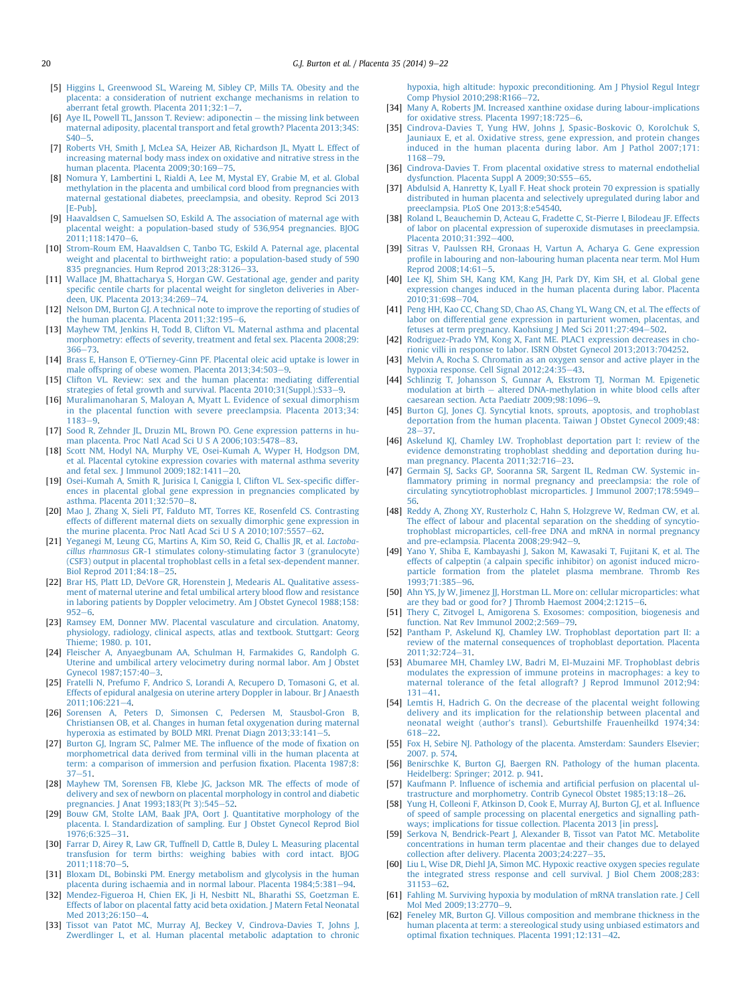- <span id="page-11-0"></span>[5] [Higgins L, Greenwood SL, Wareing M, Sibley CP, Mills TA. Obesity and the](http://refhub.elsevier.com/S0143-4004(13)00798-4/sref5) [placenta: a consideration of nutrient exchange mechanisms in relation to](http://refhub.elsevier.com/S0143-4004(13)00798-4/sref5) [aberrant fetal growth. Placenta 2011;32:1](http://refhub.elsevier.com/S0143-4004(13)00798-4/sref5)–[7](http://refhub.elsevier.com/S0143-4004(13)00798-4/sref5).
- [6] [Aye IL, Powell TL, Jansson T. Review: adiponectin](http://refhub.elsevier.com/S0143-4004(13)00798-4/sref6)  $-$  [the missing link between](http://refhub.elsevier.com/S0143-4004(13)00798-4/sref6) [maternal adiposity, placental transport and fetal growth? Placenta 2013;34S:](http://refhub.elsevier.com/S0143-4004(13)00798-4/sref6)  $S40 - 5$  $S40 - 5$  $S40 - 5$
- [7] [Roberts VH, Smith J, McLea SA, Heizer AB, Richardson JL, Myatt L. Effect of](http://refhub.elsevier.com/S0143-4004(13)00798-4/sref7) [increasing maternal body mass index on oxidative and nitrative stress in the](http://refhub.elsevier.com/S0143-4004(13)00798-4/sref7) human placenta. Placenta 2009:30:169-[75](http://refhub.elsevier.com/S0143-4004(13)00798-4/sref7).
- [8] [Nomura Y, Lambertini L, Rialdi A, Lee M, Mystal EY, Grabie M, et al. Global](http://refhub.elsevier.com/S0143-4004(13)00798-4/sref8) [methylation in the placenta and umbilical cord blood from pregnancies with](http://refhub.elsevier.com/S0143-4004(13)00798-4/sref8) [maternal gestational diabetes, preeclampsia, and obesity. Reprod Sci 2013](http://refhub.elsevier.com/S0143-4004(13)00798-4/sref8) [\[E-Pub\].](http://refhub.elsevier.com/S0143-4004(13)00798-4/sref8)
- [9] [Haavaldsen C, Samuelsen SO, Eskild A. The association of maternal age with](http://refhub.elsevier.com/S0143-4004(13)00798-4/sref9) [placental weight: a population-based study of 536,954 pregnancies. BJOG](http://refhub.elsevier.com/S0143-4004(13)00798-4/sref9) 2011:118:1470-[6](http://refhub.elsevier.com/S0143-4004(13)00798-4/sref9).
- [10] [Strom-Roum EM, Haavaldsen C, Tanbo TG, Eskild A. Paternal age, placental](http://refhub.elsevier.com/S0143-4004(13)00798-4/sref10) [weight and placental to birthweight ratio: a population-based study of 590](http://refhub.elsevier.com/S0143-4004(13)00798-4/sref10) 835 pregnancies. Hum Reprod  $2013;28:3126-33$ .
- [11] [Wallace JM, Bhattacharya S, Horgan GW. Gestational age, gender and parity](http://refhub.elsevier.com/S0143-4004(13)00798-4/sref11) specifi[c centile charts for placental weight for singleton deliveries in Aber](http://refhub.elsevier.com/S0143-4004(13)00798-4/sref11)[deen, UK. Placenta 2013;34:269](http://refhub.elsevier.com/S0143-4004(13)00798-4/sref11)-[74.](http://refhub.elsevier.com/S0143-4004(13)00798-4/sref11)
- [12] [Nelson DM, Burton GJ. A technical note to improve the reporting of studies of](http://refhub.elsevier.com/S0143-4004(13)00798-4/sref12) the human placenta. Placenta  $2011:32:195-6$ .
- [13] [Mayhew TM, Jenkins H, Todd B, Clifton VL. Maternal asthma and placental](http://refhub.elsevier.com/S0143-4004(13)00798-4/sref13) [morphometry: effects of severity, treatment and fetal sex. Placenta 2008;29:](http://refhub.elsevier.com/S0143-4004(13)00798-4/sref13)  $366 - 73$  $366 - 73$
- [14] Brass E, Hanson E, O'[Tierney-Ginn PF. Placental oleic acid uptake is lower in](http://refhub.elsevier.com/S0143-4004(13)00798-4/sref14) [male offspring of obese women. Placenta 2013;34:503](http://refhub.elsevier.com/S0143-4004(13)00798-4/sref14)-[9](http://refhub.elsevier.com/S0143-4004(13)00798-4/sref14).
- [15] [Clifton VL. Review: sex and the human placenta: mediating differential](http://refhub.elsevier.com/S0143-4004(13)00798-4/sref15) [strategies of fetal growth and survival. Placenta 2010;31\(Suppl.\):S33](http://refhub.elsevier.com/S0143-4004(13)00798-4/sref15)-[9](http://refhub.elsevier.com/S0143-4004(13)00798-4/sref15).
- [16] [Muralimanoharan S, Maloyan A, Myatt L. Evidence of sexual dimorphism](http://refhub.elsevier.com/S0143-4004(13)00798-4/sref16) [in the placental function with severe preeclampsia. Placenta 2013;34:](http://refhub.elsevier.com/S0143-4004(13)00798-4/sref16) [1183](http://refhub.elsevier.com/S0143-4004(13)00798-4/sref16)-[9](http://refhub.elsevier.com/S0143-4004(13)00798-4/sref16)
- [17] [Sood R, Zehnder JL, Druzin ML, Brown PO. Gene expression patterns in hu](http://refhub.elsevier.com/S0143-4004(13)00798-4/sref17)[man placenta. Proc Natl Acad Sci U S A 2006;103:5478](http://refhub.elsevier.com/S0143-4004(13)00798-4/sref17)-[83.](http://refhub.elsevier.com/S0143-4004(13)00798-4/sref17)
- [18] [Scott NM, Hodyl NA, Murphy VE, Osei-Kumah A, Wyper H, Hodgson DM,](http://refhub.elsevier.com/S0143-4004(13)00798-4/sref18) [et al. Placental cytokine expression covaries with maternal asthma severity](http://refhub.elsevier.com/S0143-4004(13)00798-4/sref18) and fetal sex. J Immunol  $2009;182:1411-20$ .
- [19] [Osei-Kumah A, Smith R, Jurisica I, Caniggia I, Clifton VL. Sex-speci](http://refhub.elsevier.com/S0143-4004(13)00798-4/sref19)fic differ[ences in placental global gene expression in pregnancies complicated by](http://refhub.elsevier.com/S0143-4004(13)00798-4/sref19) [asthma. Placenta 2011;32:570](http://refhub.elsevier.com/S0143-4004(13)00798-4/sref19)-[8.](http://refhub.elsevier.com/S0143-4004(13)00798-4/sref19)
- [20] [Mao J, Zhang X, Sieli PT, Falduto MT, Torres KE, Rosenfeld CS. Contrasting](http://refhub.elsevier.com/S0143-4004(13)00798-4/sref20) [effects of different maternal diets on sexually dimorphic gene expression in](http://refhub.elsevier.com/S0143-4004(13)00798-4/sref20) the murine placenta. Proc Natl Acad Sci U S A  $2010;107:5557-62$  $2010;107:5557-62$ .
- [21] [Yeganegi M, Leung CG, Martins A, Kim SO, Reid G, Challis JR, et al.](http://refhub.elsevier.com/S0143-4004(13)00798-4/sref21) Lactobacillus rhamnosus [GR-1 stimulates colony-stimulating factor 3 \(granulocyte\)](http://refhub.elsevier.com/S0143-4004(13)00798-4/sref21) [\(CSF3\) output in placental trophoblast cells in a fetal sex-dependent manner.](http://refhub.elsevier.com/S0143-4004(13)00798-4/sref21) [Biol Reprod 2011;84:18](http://refhub.elsevier.com/S0143-4004(13)00798-4/sref21)-[25.](http://refhub.elsevier.com/S0143-4004(13)00798-4/sref21)
- [22] [Brar HS, Platt LD, DeVore GR, Horenstein J, Medearis AL. Qualitative assess](http://refhub.elsevier.com/S0143-4004(13)00798-4/sref22)[ment of maternal uterine and fetal umbilical artery blood](http://refhub.elsevier.com/S0143-4004(13)00798-4/sref22) flow and resistance [in laboring patients by Doppler velocimetry. Am J Obstet Gynecol 1988;158:](http://refhub.elsevier.com/S0143-4004(13)00798-4/sref22)  $952 - 6.$  $952 - 6.$  $952 - 6.$
- [23] [Ramsey EM, Donner MW. Placental vasculature and circulation. Anatomy,](http://refhub.elsevier.com/S0143-4004(13)00798-4/sref23) [physiology, radiology, clinical aspects, atlas and textbook. Stuttgart: Georg](http://refhub.elsevier.com/S0143-4004(13)00798-4/sref23) [Thieme; 1980. p. 101.](http://refhub.elsevier.com/S0143-4004(13)00798-4/sref23)
- [24] [Fleischer A, Anyaegbunam AA, Schulman H, Farmakides G, Randolph G.](http://refhub.elsevier.com/S0143-4004(13)00798-4/sref24) [Uterine and umbilical artery velocimetry during normal labor. Am J Obstet](http://refhub.elsevier.com/S0143-4004(13)00798-4/sref24) [Gynecol 1987;157:40](http://refhub.elsevier.com/S0143-4004(13)00798-4/sref24)-[3.](http://refhub.elsevier.com/S0143-4004(13)00798-4/sref24)
- [25] [Fratelli N, Prefumo F, Andrico S, Lorandi A, Recupero D, Tomasoni G, et al.](http://refhub.elsevier.com/S0143-4004(13)00798-4/sref25) [Effects of epidural analgesia on uterine artery Doppler in labour. Br J Anaesth](http://refhub.elsevier.com/S0143-4004(13)00798-4/sref25) 2011:106:221-[4.](http://refhub.elsevier.com/S0143-4004(13)00798-4/sref25)
- [26] [Sorensen A, Peters D, Simonsen C, Pedersen M, Stausbol-Gron B,](http://refhub.elsevier.com/S0143-4004(13)00798-4/sref26) [Christiansen OB, et al. Changes in human fetal oxygenation during maternal](http://refhub.elsevier.com/S0143-4004(13)00798-4/sref26) [hyperoxia as estimated by BOLD MRI. Prenat Diagn 2013;33:141](http://refhub.elsevier.com/S0143-4004(13)00798-4/sref26)-[5](http://refhub.elsevier.com/S0143-4004(13)00798-4/sref26).
- [27] [Burton GJ, Ingram SC, Palmer ME. The in](http://refhub.elsevier.com/S0143-4004(13)00798-4/sref27)fluence of the mode of fixation on [morphometrical data derived from terminal villi in the human placenta at](http://refhub.elsevier.com/S0143-4004(13)00798-4/sref27) [term: a comparison of immersion and perfusion](http://refhub.elsevier.com/S0143-4004(13)00798-4/sref27) fixation. Placenta 1987;8:  $37 - 51.$  $37 - 51.$  $37 - 51.$
- [28] [Mayhew TM, Sorensen FB, Klebe JG, Jackson MR. The effects of mode of](http://refhub.elsevier.com/S0143-4004(13)00798-4/sref28) [delivery and sex of newborn on placental morphology in control and diabetic](http://refhub.elsevier.com/S0143-4004(13)00798-4/sref28) [pregnancies. J Anat 1993;183\(Pt 3\):545](http://refhub.elsevier.com/S0143-4004(13)00798-4/sref28)-[52](http://refhub.elsevier.com/S0143-4004(13)00798-4/sref28).
- [29] [Bouw GM, Stolte LAM, Baak JPA, Oort J. Quantitative morphology of the](http://refhub.elsevier.com/S0143-4004(13)00798-4/sref29) [placenta. I. Standardization of sampling. Eur J Obstet Gynecol Reprod Biol](http://refhub.elsevier.com/S0143-4004(13)00798-4/sref29)  $1976;6:325-31.$  $1976;6:325-31.$  $1976;6:325-31.$  $1976;6:325-31.$
- [30] [Farrar D, Airey R, Law GR, Tuffnell D, Cattle B, Duley L. Measuring placental](http://refhub.elsevier.com/S0143-4004(13)00798-4/sref30) [transfusion for term births: weighing babies with cord intact. BJOG](http://refhub.elsevier.com/S0143-4004(13)00798-4/sref30) 2011:118:70-[5](http://refhub.elsevier.com/S0143-4004(13)00798-4/sref30).
- [31] [Bloxam DL, Bobinski PM. Energy metabolism and glycolysis in the human](http://refhub.elsevier.com/S0143-4004(13)00798-4/sref31) [placenta during ischaemia and in normal labour. Placenta 1984;5:381](http://refhub.elsevier.com/S0143-4004(13)00798-4/sref31)-[94](http://refhub.elsevier.com/S0143-4004(13)00798-4/sref31).
- [32] [Mendez-Figueroa H, Chien EK, Ji H, Nesbitt NL, Bharathi SS, Goetzman E.](http://refhub.elsevier.com/S0143-4004(13)00798-4/sref32) [Effects of labor on placental fatty acid beta oxidation. J Matern Fetal Neonatal](http://refhub.elsevier.com/S0143-4004(13)00798-4/sref32) [Med 2013;26:150](http://refhub.elsevier.com/S0143-4004(13)00798-4/sref32)-[4.](http://refhub.elsevier.com/S0143-4004(13)00798-4/sref32)
- [33] [Tissot van Patot MC, Murray AJ, Beckey V, Cindrova-Davies T, Johns J,](http://refhub.elsevier.com/S0143-4004(13)00798-4/sref33) [Zwerdlinger L, et al. Human placental metabolic adaptation to chronic](http://refhub.elsevier.com/S0143-4004(13)00798-4/sref33)

[hypoxia, high altitude: hypoxic preconditioning. Am J Physiol Regul Integr](http://refhub.elsevier.com/S0143-4004(13)00798-4/sref33)  $Comp$  Physiol 2010;298: $R166 - 72$ .

- [34] [Many A, Roberts JM. Increased xanthine oxidase during labour-implications](http://refhub.elsevier.com/S0143-4004(13)00798-4/sref34) for oxidative stress. Placenta  $1997;18:725-6$ .
- [35] [Cindrova-Davies T, Yung HW, Johns J, Spasic-Boskovic O, Korolchuk S,](http://refhub.elsevier.com/S0143-4004(13)00798-4/sref35) [Jauniaux E, et al. Oxidative stress, gene expression, and protein changes](http://refhub.elsevier.com/S0143-4004(13)00798-4/sref35) [induced in the human placenta during labor. Am J Pathol 2007;171:](http://refhub.elsevier.com/S0143-4004(13)00798-4/sref35) [1168](http://refhub.elsevier.com/S0143-4004(13)00798-4/sref35)-[79](http://refhub.elsevier.com/S0143-4004(13)00798-4/sref35)
- [36] [Cindrova-Davies T. From placental oxidative stress to maternal endothelial](http://refhub.elsevier.com/S0143-4004(13)00798-4/sref36) dysfunction. Placenta Suppl A  $2009;30:$  S55-[65.](http://refhub.elsevier.com/S0143-4004(13)00798-4/sref36)
- [37] [Abdulsid A, Hanretty K, Lyall F. Heat shock protein 70 expression is spatially](http://refhub.elsevier.com/S0143-4004(13)00798-4/sref37) [distributed in human placenta and selectively upregulated during labor and](http://refhub.elsevier.com/S0143-4004(13)00798-4/sref37) [preeclampsia. PLoS One 2013;8:e54540](http://refhub.elsevier.com/S0143-4004(13)00798-4/sref37).
- [38] [Roland L, Beauchemin D, Acteau G, Fradette C, St-Pierre I, Bilodeau JF. Effects](http://refhub.elsevier.com/S0143-4004(13)00798-4/sref38) [of labor on placental expression of superoxide dismutases in preeclampsia.](http://refhub.elsevier.com/S0143-4004(13)00798-4/sref38) Placenta 2010:31:392-[400](http://refhub.elsevier.com/S0143-4004(13)00798-4/sref38).
- [39] [Sitras V, Paulssen RH, Gronaas H, Vartun A, Acharya G. Gene expression](http://refhub.elsevier.com/S0143-4004(13)00798-4/sref39) profi[le in labouring and non-labouring human placenta near term. Mol Hum](http://refhub.elsevier.com/S0143-4004(13)00798-4/sref39) Reprod  $2008:14:61-5$  $2008:14:61-5$ .
- [40] [Lee KJ, Shim SH, Kang KM, Kang JH, Park DY, Kim SH, et al. Global gene](http://refhub.elsevier.com/S0143-4004(13)00798-4/sref40) [expression changes induced in the human placenta during labor. Placenta](http://refhub.elsevier.com/S0143-4004(13)00798-4/sref40)  $2010:31:698 - 704$
- [41] [Peng HH, Kao CC, Chang SD, Chao AS, Chang YL, Wang CN, et al. The effects of](http://refhub.elsevier.com/S0143-4004(13)00798-4/sref41) [labor on differential gene expression in parturient women, placentas, and](http://refhub.elsevier.com/S0143-4004(13)00798-4/sref41) [fetuses at term pregnancy. Kaohsiung J Med Sci 2011;27:494](http://refhub.elsevier.com/S0143-4004(13)00798-4/sref41)–[502](http://refhub.elsevier.com/S0143-4004(13)00798-4/sref41).<br>[42] [Rodriguez-Prado YM, Kong X, Fant ME. PLAC1 expression decreases in cho-](http://refhub.elsevier.com/S0143-4004(13)00798-4/sref42)
- [rionic villi in response to labor. ISRN Obstet Gynecol 2013;2013:704252.](http://refhub.elsevier.com/S0143-4004(13)00798-4/sref42)
- [43] [Melvin A, Rocha S. Chromatin as an oxygen sensor and active player in the](http://refhub.elsevier.com/S0143-4004(13)00798-4/sref43) hypoxia response. Cell Signal  $2012;24:35-43$  $2012;24:35-43$ .
- [44] [Schlinzig T, Johansson S, Gunnar A, Ekstrom TJ, Norman M. Epigenetic](http://refhub.elsevier.com/S0143-4004(13)00798-4/sref44) [modulation at birth](http://refhub.elsevier.com/S0143-4004(13)00798-4/sref44) – [altered DNA-methylation in white blood cells after](http://refhub.elsevier.com/S0143-4004(13)00798-4/sref44)  $caesarean section. Acta Paediatr  $2009;98:1096-9$ .$
- [45] [Burton GJ, Jones CJ. Syncytial knots, sprouts, apoptosis, and trophoblast](http://refhub.elsevier.com/S0143-4004(13)00798-4/sref45) [deportation from the human placenta. Taiwan J Obstet Gynecol 2009;48:](http://refhub.elsevier.com/S0143-4004(13)00798-4/sref45)  $28 - 37.$  $28 - 37.$  $28 - 37.$  $28 - 37.$
- [46] [Askelund KJ, Chamley LW. Trophoblast deportation part I: review of the](http://refhub.elsevier.com/S0143-4004(13)00798-4/sref46) [evidence demonstrating trophoblast shedding and deportation during hu](http://refhub.elsevier.com/S0143-4004(13)00798-4/sref46)[man pregnancy. Placenta 2011;32:716](http://refhub.elsevier.com/S0143-4004(13)00798-4/sref46)-[23.](http://refhub.elsevier.com/S0143-4004(13)00798-4/sref46)
- [47] [Germain SJ, Sacks GP, Sooranna SR, Sargent IL, Redman CW. Systemic in](http://refhub.elsevier.com/S0143-4004(13)00798-4/sref47)fl[ammatory priming in normal pregnancy and preeclampsia: the role of](http://refhub.elsevier.com/S0143-4004(13)00798-4/sref47) [circulating syncytiotrophoblast microparticles. J Immunol 2007;178:5949](http://refhub.elsevier.com/S0143-4004(13)00798-4/sref47)-[56](http://refhub.elsevier.com/S0143-4004(13)00798-4/sref47).
- [48] [Reddy A, Zhong XY, Rusterholz C, Hahn S, Holzgreve W, Redman CW, et al.](http://refhub.elsevier.com/S0143-4004(13)00798-4/sref48) [The effect of labour and placental separation on the shedding of syncytio](http://refhub.elsevier.com/S0143-4004(13)00798-4/sref48)[trophoblast microparticles, cell-free DNA and mRNA in normal pregnancy](http://refhub.elsevier.com/S0143-4004(13)00798-4/sref48) [and pre-eclampsia. Placenta 2008;29:942](http://refhub.elsevier.com/S0143-4004(13)00798-4/sref48)-[9.](http://refhub.elsevier.com/S0143-4004(13)00798-4/sref48)
- [49] [Yano Y, Shiba E, Kambayashi J, Sakon M, Kawasaki T, Fujitani K, et al. The](http://refhub.elsevier.com/S0143-4004(13)00798-4/sref49) effects of calpeptin (a calpain specifi[c inhibitor\) on agonist induced micro](http://refhub.elsevier.com/S0143-4004(13)00798-4/sref49)[particle formation from the platelet plasma membrane. Thromb Res](http://refhub.elsevier.com/S0143-4004(13)00798-4/sref49)  $1993:71:385 - 96$
- [50] [Ahn YS, Jy W, Jimenez JJ, Horstman LL. More on: cellular microparticles: what](http://refhub.elsevier.com/S0143-4004(13)00798-4/sref50) are they bad or good for? J Thromb Haemost  $2004;2:1215-6$  $2004;2:1215-6$
- [51] [Thery C, Zitvogel L, Amigorena S. Exosomes: composition, biogenesis and](http://refhub.elsevier.com/S0143-4004(13)00798-4/sref51) function. Nat Rev Immunol  $2002;2:569-79$  $2002;2:569-79$ .
- [52] [Pantham P, Askelund KJ, Chamley LW. Trophoblast deportation part II: a](http://refhub.elsevier.com/S0143-4004(13)00798-4/sref52) [review of the maternal consequences of trophoblast deportation. Placenta](http://refhub.elsevier.com/S0143-4004(13)00798-4/sref52) [2011;32:724](http://refhub.elsevier.com/S0143-4004(13)00798-4/sref52)-[31.](http://refhub.elsevier.com/S0143-4004(13)00798-4/sref52)
- [53] [Abumaree MH, Chamley LW, Badri M, El-Muzaini MF. Trophoblast debris](http://refhub.elsevier.com/S0143-4004(13)00798-4/sref53) [modulates the expression of immune proteins in macrophages: a key to](http://refhub.elsevier.com/S0143-4004(13)00798-4/sref53) [maternal tolerance of the fetal allograft? J Reprod Immunol 2012;94:](http://refhub.elsevier.com/S0143-4004(13)00798-4/sref53)  $131 - 41.$  $131 - 41.$  $131 - 41.$  $131 - 41.$
- [54] [Lemtis H, Hadrich G. On the decrease of the placental weight following](http://refhub.elsevier.com/S0143-4004(13)00798-4/sref54) [delivery and its implication for the relationship between placental and](http://refhub.elsevier.com/S0143-4004(13)00798-4/sref54) neonatal weight (author'[s transl\). Geburtshilfe Frauenheilkd 1974;34:](http://refhub.elsevier.com/S0143-4004(13)00798-4/sref54)  $618 - 22.$  $618 - 22.$  $618 - 22.$  $618 - 22.$
- [55] [Fox H, Sebire NJ. Pathology of the placenta. Amsterdam: Saunders Elsevier;](http://refhub.elsevier.com/S0143-4004(13)00798-4/sref55) [2007. p. 574.](http://refhub.elsevier.com/S0143-4004(13)00798-4/sref55)
- [56] [Benirschke K, Burton GJ, Baergen RN. Pathology of the human placenta.](http://refhub.elsevier.com/S0143-4004(13)00798-4/sref56) [Heidelberg: Springer; 2012. p. 941](http://refhub.elsevier.com/S0143-4004(13)00798-4/sref56).
- [57] Kaufmann P. Influence of ischemia and artifi[cial perfusion on placental ul](http://refhub.elsevier.com/S0143-4004(13)00798-4/sref57)[trastructure and morphometry. Contrib Gynecol Obstet 1985;13:18](http://refhub.elsevier.com/S0143-4004(13)00798-4/sref57)-[26](http://refhub.elsevier.com/S0143-4004(13)00798-4/sref57).
- [58] [Yung H, Colleoni F, Atkinson D, Cook E, Murray AJ, Burton GJ, et al. In](http://refhub.elsevier.com/S0143-4004(13)00798-4/sref58)fluence [of speed of sample processing on placental energetics and signalling path](http://refhub.elsevier.com/S0143-4004(13)00798-4/sref58)[ways; implications for tissue collection. Placenta 2013 \[in press\]](http://refhub.elsevier.com/S0143-4004(13)00798-4/sref58).
- [59] [Serkova N, Bendrick-Peart J, Alexander B, Tissot van Patot MC. Metabolite](http://refhub.elsevier.com/S0143-4004(13)00798-4/sref59) [concentrations in human term placentae and their changes due to delayed](http://refhub.elsevier.com/S0143-4004(13)00798-4/sref59) [collection after delivery. Placenta 2003;24:227](http://refhub.elsevier.com/S0143-4004(13)00798-4/sref59)-[35.](http://refhub.elsevier.com/S0143-4004(13)00798-4/sref59)
- [60] [Liu L, Wise DR, Diehl JA, Simon MC. Hypoxic reactive oxygen species regulate](http://refhub.elsevier.com/S0143-4004(13)00798-4/sref60) [the integrated stress response and cell survival. J Biol Chem 2008;283:](http://refhub.elsevier.com/S0143-4004(13)00798-4/sref60)  $31153 - 62$  $31153 - 62$  $31153 - 62$
- [61] [Fahling M. Surviving hypoxia by modulation of mRNA translation rate. J Cell](http://refhub.elsevier.com/S0143-4004(13)00798-4/sref61) [Mol Med 2009;13:2770](http://refhub.elsevier.com/S0143-4004(13)00798-4/sref61)-[9.](http://refhub.elsevier.com/S0143-4004(13)00798-4/sref61)
- [62] [Feneley MR, Burton GJ. Villous composition and membrane thickness in the](http://refhub.elsevier.com/S0143-4004(13)00798-4/sref62) [human placenta at term: a stereological study using unbiased estimators and](http://refhub.elsevier.com/S0143-4004(13)00798-4/sref62) optimal fi[xation techniques. Placenta 1991;12:131](http://refhub.elsevier.com/S0143-4004(13)00798-4/sref62)-[42](http://refhub.elsevier.com/S0143-4004(13)00798-4/sref62).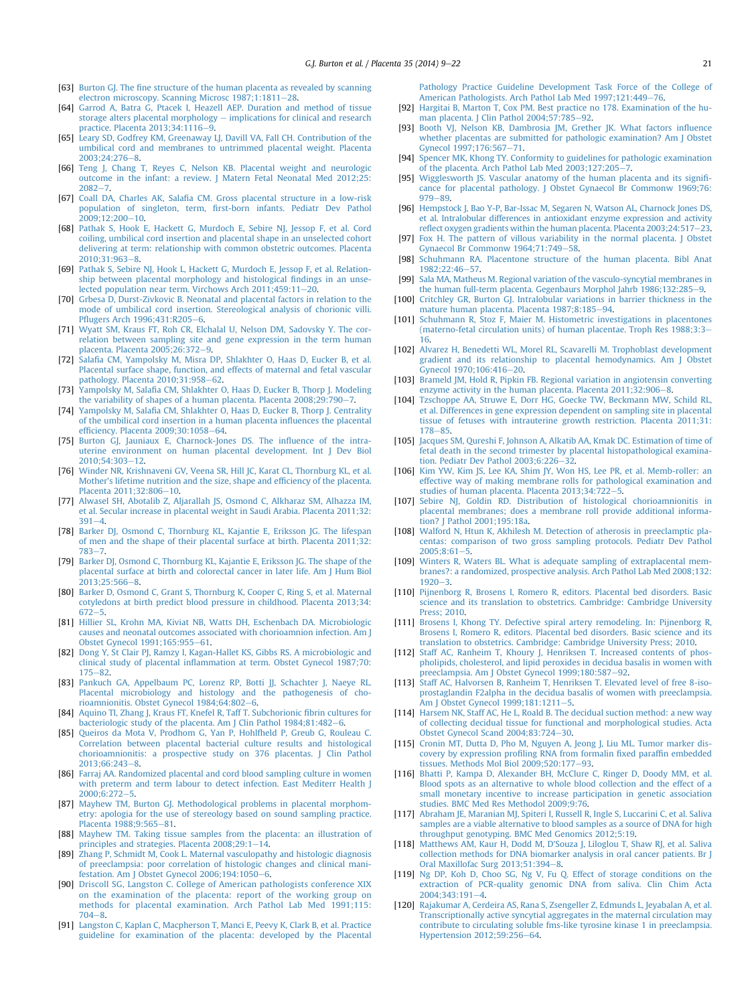- <span id="page-12-0"></span>[63] Burton GJ. The fi[ne structure of the human placenta as revealed by scanning](http://refhub.elsevier.com/S0143-4004(13)00798-4/sref63) electron microscopy. Scanning Microsc  $1987;1:1811-28$ .
- [64] [Garrod A, Batra G, Ptacek I, Heazell AEP. Duration and method of tissue](http://refhub.elsevier.com/S0143-4004(13)00798-4/sref64) [storage alters placental morphology](http://refhub.elsevier.com/S0143-4004(13)00798-4/sref64)  $-$  [implications for clinical and research](http://refhub.elsevier.com/S0143-4004(13)00798-4/sref64) practice. Placenta 2013:34:1116-[9](http://refhub.elsevier.com/S0143-4004(13)00798-4/sref64).
- [65] [Leary SD, Godfrey KM, Greenaway LJ, Davill VA, Fall CH. Contribution of the](http://refhub.elsevier.com/S0143-4004(13)00798-4/sref65) [umbilical cord and membranes to untrimmed placental weight. Placenta](http://refhub.elsevier.com/S0143-4004(13)00798-4/sref65)  $2003:24:276-8.$  $2003:24:276-8.$
- [66] [Teng J, Chang T, Reyes C, Nelson KB. Placental weight and neurologic](http://refhub.elsevier.com/S0143-4004(13)00798-4/sref66) [outcome in the infant: a review. J Matern Fetal Neonatal Med 2012;25:](http://refhub.elsevier.com/S0143-4004(13)00798-4/sref66)  $2082 - 7.$  $2082 - 7.$  $2082 - 7.$  $2082 - 7.$
- [67] Coall DA, Charles AK, Salafi[a CM. Gross placental structure in a low-risk](http://refhub.elsevier.com/S0143-4004(13)00798-4/sref67) population of singleton, term, fi[rst-born infants. Pediatr Dev Pathol](http://refhub.elsevier.com/S0143-4004(13)00798-4/sref67)  $2009:12:200 - 10$
- [68] [Pathak S, Hook E, Hackett G, Murdoch E, Sebire NJ, Jessop F, et al. Cord](http://refhub.elsevier.com/S0143-4004(13)00798-4/sref68) [coiling, umbilical cord insertion and placental shape in an unselected cohort](http://refhub.elsevier.com/S0143-4004(13)00798-4/sref68) [delivering at term: relationship with common obstetric outcomes. Placenta](http://refhub.elsevier.com/S0143-4004(13)00798-4/sref68)  $2010:31:963-8.$  $2010:31:963-8.$
- [69] [Pathak S, Sebire NJ, Hook L, Hackett G, Murdoch E, Jessop F, et al. Relation](http://refhub.elsevier.com/S0143-4004(13)00798-4/sref69)[ship between placental morphology and histological](http://refhub.elsevier.com/S0143-4004(13)00798-4/sref69) findings in an unselected population near term. Virchows Arch  $2011:459:11-20$  $2011:459:11-20$ .
- [70] [Grbesa D, Durst-Zivkovic B. Neonatal and placental factors in relation to the](http://refhub.elsevier.com/S0143-4004(13)00798-4/sref70) [mode of umbilical cord insertion. Stereological analysis of chorionic villi.](http://refhub.elsevier.com/S0143-4004(13)00798-4/sref70) Pflugers Arch 1996:431:R205-[6.](http://refhub.elsevier.com/S0143-4004(13)00798-4/sref70)
- [71] [Wyatt SM, Kraus FT, Roh CR, Elchalal U, Nelson DM, Sadovsky Y. The cor](http://refhub.elsevier.com/S0143-4004(13)00798-4/sref71)[relation between sampling site and gene expression in the term human](http://refhub.elsevier.com/S0143-4004(13)00798-4/sref71) placenta. Placenta 2005:26:372-[9.](http://refhub.elsevier.com/S0143-4004(13)00798-4/sref71)
- [72] Salafi[a CM, Yampolsky M, Misra DP, Shlakhter O, Haas D, Eucker B, et al.](http://refhub.elsevier.com/S0143-4004(13)00798-4/sref72) [Placental surface shape, function, and effects of maternal and fetal vascular](http://refhub.elsevier.com/S0143-4004(13)00798-4/sref72) [pathology. Placenta 2010;31:958](http://refhub.elsevier.com/S0143-4004(13)00798-4/sref72)-[62](http://refhub.elsevier.com/S0143-4004(13)00798-4/sref72).
- [73] Yampolsky M, Salafi[a CM, Shlakhter O, Haas D, Eucker B, Thorp J. Modeling](http://refhub.elsevier.com/S0143-4004(13)00798-4/sref73) the variability of shapes of a human placenta. Placenta  $2008;29:790-7$ .
- [74] Yampolsky M, Salafi[a CM, Shlakhter O, Haas D, Eucker B, Thorp J. Centrality](http://refhub.elsevier.com/S0143-4004(13)00798-4/sref74) [of the umbilical cord insertion in a human placenta in](http://refhub.elsevier.com/S0143-4004(13)00798-4/sref74)fluences the placental effi[ciency. Placenta 2009;30:1058](http://refhub.elsevier.com/S0143-4004(13)00798-4/sref74)-[64.](http://refhub.elsevier.com/S0143-4004(13)00798-4/sref74)
- [75] [Burton GJ, Jauniaux E, Charnock-Jones DS. The in](http://refhub.elsevier.com/S0143-4004(13)00798-4/sref75)fluence of the intra[uterine environment on human placental development. Int J Dev Biol](http://refhub.elsevier.com/S0143-4004(13)00798-4/sref75)  $2010:54:303 - 12$
- [76] [Winder NR, Krishnaveni GV, Veena SR, Hill JC, Karat CL, Thornburg KL, et al.](http://refhub.elsevier.com/S0143-4004(13)00798-4/sref76) Mother'[s lifetime nutrition and the size, shape and ef](http://refhub.elsevier.com/S0143-4004(13)00798-4/sref76)ficiency of the placenta. [Placenta 2011;32:806](http://refhub.elsevier.com/S0143-4004(13)00798-4/sref76)-[10](http://refhub.elsevier.com/S0143-4004(13)00798-4/sref76).
- [77] [Alwasel SH, Abotalib Z, Aljarallah JS, Osmond C, Alkharaz SM, Alhazza IM,](http://refhub.elsevier.com/S0143-4004(13)00798-4/sref77) [et al. Secular increase in placental weight in Saudi Arabia. Placenta 2011;32:](http://refhub.elsevier.com/S0143-4004(13)00798-4/sref77)  $391 - 4.$  $391 - 4.$  $391 - 4.$  $391 - 4.$
- [78] [Barker DJ, Osmond C, Thornburg KL, Kajantie E, Eriksson JG. The lifespan](http://refhub.elsevier.com/S0143-4004(13)00798-4/sref78) [of men and the shape of their placental surface at birth. Placenta 2011;32:](http://refhub.elsevier.com/S0143-4004(13)00798-4/sref78)  $783 - 7$  $783 - 7$  $783 - 7$
- [79] [Barker DJ, Osmond C, Thornburg KL, Kajantie E, Eriksson JG. The shape of the](http://refhub.elsevier.com/S0143-4004(13)00798-4/sref79) [placental surface at birth and colorectal cancer in later life. Am J Hum Biol](http://refhub.elsevier.com/S0143-4004(13)00798-4/sref79)  $2013.25.566 - 8$
- [80] [Barker D, Osmond C, Grant S, Thornburg K, Cooper C, Ring S, et al. Maternal](http://refhub.elsevier.com/S0143-4004(13)00798-4/sref80) [cotyledons at birth predict blood pressure in childhood. Placenta 2013;34:](http://refhub.elsevier.com/S0143-4004(13)00798-4/sref80)  $672 - 5$  $672 - 5$  $672 - 5$
- [81] [Hillier SL, Krohn MA, Kiviat NB, Watts DH, Eschenbach DA. Microbiologic](http://refhub.elsevier.com/S0143-4004(13)00798-4/sref81) [causes and neonatal outcomes associated with chorioamnion infection. Am J](http://refhub.elsevier.com/S0143-4004(13)00798-4/sref81) [Obstet Gynecol 1991;165:955](http://refhub.elsevier.com/S0143-4004(13)00798-4/sref81)-[61.](http://refhub.elsevier.com/S0143-4004(13)00798-4/sref81)
- [82] [Dong Y, St Clair PJ, Ramzy I, Kagan-Hallet KS, Gibbs RS. A microbiologic and](http://refhub.elsevier.com/S0143-4004(13)00798-4/sref82) clinical study of placental infl[ammation at term. Obstet Gynecol 1987;70:](http://refhub.elsevier.com/S0143-4004(13)00798-4/sref82)  $175 - 82.$  $175 - 82.$  $175 - 82.$  $175 - 82.$
- [83] [Pankuch GA, Appelbaum PC, Lorenz RP, Botti JJ, Schachter J, Naeye RL.](http://refhub.elsevier.com/S0143-4004(13)00798-4/sref83) [Placental microbiology and histology and the pathogenesis of cho](http://refhub.elsevier.com/S0143-4004(13)00798-4/sref83)[rioamnionitis. Obstet Gynecol 1984;64:802](http://refhub.elsevier.com/S0143-4004(13)00798-4/sref83)-[6.](http://refhub.elsevier.com/S0143-4004(13)00798-4/sref83)
- [84] [Aquino TI, Zhang J, Kraus FT, Knefel R, Taff T. Subchorionic](http://refhub.elsevier.com/S0143-4004(13)00798-4/sref84) fibrin cultures for acteriologic study of the placenta. Am J Clin Pathol 1984;81:482-[6.](http://refhub.elsevier.com/S0143-4004(13)00798-4/sref84)
- [85] [Queiros da Mota V, Prodhom G, Yan P, Hohlfheld P, Greub G, Rouleau C.](http://refhub.elsevier.com/S0143-4004(13)00798-4/sref85) [Correlation between placental bacterial culture results and histological](http://refhub.elsevier.com/S0143-4004(13)00798-4/sref85) [chorioamnionitis: a prospective study on 376 placentas. J Clin Pathol](http://refhub.elsevier.com/S0143-4004(13)00798-4/sref85) 2013:66:243-[8.](http://refhub.elsevier.com/S0143-4004(13)00798-4/sref85)
- [86] Farraj AA, Randomized placental and cord blood sampling culture in women [with preterm and term labour to detect infection. East Mediterr Health J](http://refhub.elsevier.com/S0143-4004(13)00798-4/sref86)  $2000:6:272-5.$  $2000:6:272-5.$  $2000:6:272-5.$
- [87] [Mayhew TM, Burton GJ. Methodological problems in placental morphom](http://refhub.elsevier.com/S0143-4004(13)00798-4/sref87)[etry: apologia for the use of stereology based on sound sampling practice.](http://refhub.elsevier.com/S0143-4004(13)00798-4/sref87) [Placenta 1988;9:565](http://refhub.elsevier.com/S0143-4004(13)00798-4/sref87)-[81](http://refhub.elsevier.com/S0143-4004(13)00798-4/sref87).
- [88] [Mayhew TM. Taking tissue samples from the placenta: an illustration of](http://refhub.elsevier.com/S0143-4004(13)00798-4/sref88) principles and strategies. Placenta  $2008;29:1-14$  $2008;29:1-14$ .
- [89] [Zhang P, Schmidt M, Cook L. Maternal vasculopathy and histologic diagnosis](http://refhub.elsevier.com/S0143-4004(13)00798-4/sref89) [of preeclampsia: poor correlation of histologic changes and clinical mani](http://refhub.elsevier.com/S0143-4004(13)00798-4/sref89)festation. Am J Obstet Gynecol  $2006;194:1050-6$ .
- [90] [Driscoll SG, Langston C. College of American pathologists conference XIX](http://refhub.elsevier.com/S0143-4004(13)00798-4/sref90) [on the examination of the placenta: report of the working group on](http://refhub.elsevier.com/S0143-4004(13)00798-4/sref90) [methods for placental examination. Arch Pathol Lab Med 1991;115:](http://refhub.elsevier.com/S0143-4004(13)00798-4/sref90)  $704 - 8.$  $704 - 8.$  $704 - 8.$
- [91] [Langston C, Kaplan C, Macpherson T, Manci E, Peevy K, Clark B, et al. Practice](http://refhub.elsevier.com/S0143-4004(13)00798-4/sref91) [guideline for examination of the placenta: developed by the Placental](http://refhub.elsevier.com/S0143-4004(13)00798-4/sref91)

[Pathology Practice Guideline Development Task Force of the College of](http://refhub.elsevier.com/S0143-4004(13)00798-4/sref91) [American Pathologists. Arch Pathol Lab Med 1997;121:449](http://refhub.elsevier.com/S0143-4004(13)00798-4/sref91)-[76](http://refhub.elsevier.com/S0143-4004(13)00798-4/sref91).

- [92] [Hargitai B, Marton T, Cox PM. Best practice no 178. Examination of the hu](http://refhub.elsevier.com/S0143-4004(13)00798-4/sref92)man placenta. J Clin Pathol  $2004;57;785-92$  $2004;57;785-92$ .
- [93] [Booth VJ, Nelson KB, Dambrosia JM, Grether JK. What factors in](http://refhub.elsevier.com/S0143-4004(13)00798-4/sref93)fluence [whether placentas are submitted for pathologic examination? Am J Obstet](http://refhub.elsevier.com/S0143-4004(13)00798-4/sref93) [Gynecol 1997;176:567](http://refhub.elsevier.com/S0143-4004(13)00798-4/sref93)-[71](http://refhub.elsevier.com/S0143-4004(13)00798-4/sref93).
- [94] [Spencer MK, Khong TY. Conformity to guidelines for pathologic examination](http://refhub.elsevier.com/S0143-4004(13)00798-4/sref94) of the placenta. Arch Pathol Lab Med  $2003:127:205-7$  $2003:127:205-7$  $2003:127:205-7$ .
- [95] [Wigglesworth JS. Vascular anatomy of the human placenta and its signi](http://refhub.elsevier.com/S0143-4004(13)00798-4/sref95)fi[cance for placental pathology. J Obstet Gynaecol Br Commonw 1969;76:](http://refhub.elsevier.com/S0143-4004(13)00798-4/sref95)  $979 - 89$  $979 - 89$  $979 - 89$
- [96] [Hempstock J, Bao Y-P, Bar-Issac M, Segaren N, Watson AL, Charnock Jones DS,](http://refhub.elsevier.com/S0143-4004(13)00798-4/sref96) [et al. Intralobular differences in antioxidant enzyme expression and activity](http://refhub.elsevier.com/S0143-4004(13)00798-4/sref96) reflect oxygen gradients within the human placenta. Placenta 2003:24:517-[23](http://refhub.elsevier.com/S0143-4004(13)00798-4/sref96).
- [97] [Fox H. The pattern of villous variability in the normal placenta. J Obstet](http://refhub.elsevier.com/S0143-4004(13)00798-4/sref97) Gynaecol Br Commonw  $1964:71:749-58$ .
- [98] [Schuhmann RA. Placentone structure of the human placenta. Bibl Anat](http://refhub.elsevier.com/S0143-4004(13)00798-4/sref98)  $1982:22:46-57$
- [99] [Sala MA, Matheus M. Regional variation of the vasculo-syncytial membranes in](http://refhub.elsevier.com/S0143-4004(13)00798-4/sref99) [the human full-term placenta. Gegenbaurs Morphol Jahrb 1986;132:285](http://refhub.elsevier.com/S0143-4004(13)00798-4/sref99)-[9](http://refhub.elsevier.com/S0143-4004(13)00798-4/sref99).
- [100] [Critchley GR, Burton GJ. Intralobular variations in barrier thickness in the](http://refhub.elsevier.com/S0143-4004(13)00798-4/sref100) mature human placenta. Placenta 1987:8:185-[94.](http://refhub.elsevier.com/S0143-4004(13)00798-4/sref100)
- [101] [Schuhmann R, Stoz F, Maier M. Histometric investigations in placentones](http://refhub.elsevier.com/S0143-4004(13)00798-4/sref101) [\(materno-fetal circulation units\) of human placentae. Troph Res 1988;3:3](http://refhub.elsevier.com/S0143-4004(13)00798-4/sref101)-[16](http://refhub.elsevier.com/S0143-4004(13)00798-4/sref101).
- [102] [Alvarez H, Benedetti WL, Morel RL, Scavarelli M. Trophoblast development](http://refhub.elsevier.com/S0143-4004(13)00798-4/sref102) [gradient and its relationship to placental hemodynamics. Am J Obstet](http://refhub.elsevier.com/S0143-4004(13)00798-4/sref102) Gynecol 1970:106:416-[20](http://refhub.elsevier.com/S0143-4004(13)00798-4/sref102).
- [103] [Brameld JM, Hold R, Pipkin FB. Regional variation in angiotensin converting](http://refhub.elsevier.com/S0143-4004(13)00798-4/sref103) [enzyme activity in the human placenta. Placenta 2011;32:906](http://refhub.elsevier.com/S0143-4004(13)00798-4/sref103)-[8](http://refhub.elsevier.com/S0143-4004(13)00798-4/sref103).
- [104] [Tzschoppe AA, Struwe E, Dorr HG, Goecke TW, Beckmann MW, Schild RL,](http://refhub.elsevier.com/S0143-4004(13)00798-4/sref104) [et al. Differences in gene expression dependent on sampling site in placental](http://refhub.elsevier.com/S0143-4004(13)00798-4/sref104) [tissue of fetuses with intrauterine growth restriction. Placenta 2011;31:](http://refhub.elsevier.com/S0143-4004(13)00798-4/sref104) [178](http://refhub.elsevier.com/S0143-4004(13)00798-4/sref104)-[85.](http://refhub.elsevier.com/S0143-4004(13)00798-4/sref104)
- [105] [Jacques SM, Qureshi F, Johnson A, Alkatib AA, Kmak DC. Estimation of time of](http://refhub.elsevier.com/S0143-4004(13)00798-4/sref105) [fetal death in the second trimester by placental histopathological examina](http://refhub.elsevier.com/S0143-4004(13)00798-4/sref105)tion. Pediatr Dev Pathol  $2003;6:226-32$ .
- [106] [Kim YW, Kim JS, Lee KA, Shim JY, Won HS, Lee PR, et al. Memb-roller: an](http://refhub.elsevier.com/S0143-4004(13)00798-4/sref106) [effective way of making membrane rolls for pathological examination and](http://refhub.elsevier.com/S0143-4004(13)00798-4/sref106) [studies of human placenta. Placenta 2013;34:722](http://refhub.elsevier.com/S0143-4004(13)00798-4/sref106)-[5](http://refhub.elsevier.com/S0143-4004(13)00798-4/sref106).
- [107] [Sebire NJ, Goldin RD. Distribution of histological chorioamnionitis in](http://refhub.elsevier.com/S0143-4004(13)00798-4/sref107) [placental membranes; does a membrane roll provide additional informa](http://refhub.elsevier.com/S0143-4004(13)00798-4/sref107)[tion? J Pathol 2001;195:18a](http://refhub.elsevier.com/S0143-4004(13)00798-4/sref107).
- [108] [Walford N, Htun K, Akhilesh M. Detection of atherosis in preeclamptic pla](http://refhub.elsevier.com/S0143-4004(13)00798-4/sref108)[centas: comparison of two gross sampling protocols. Pediatr Dev Pathol](http://refhub.elsevier.com/S0143-4004(13)00798-4/sref108)  $2005:8:61-5.$  $2005:8:61-5.$
- [109] [Winters R, Waters BL. What is adequate sampling of extraplacental mem](http://refhub.elsevier.com/S0143-4004(13)00798-4/sref109)[branes?: a randomized, prospective analysis. Arch Pathol Lab Med 2008;132:](http://refhub.elsevier.com/S0143-4004(13)00798-4/sref109)  $1920 - 3$  $1920 - 3$
- [110] [Pijnenborg R, Brosens I, Romero R, editors. Placental bed disorders. Basic](http://refhub.elsevier.com/S0143-4004(13)00798-4/sref110a) [science and its translation to obstetrics. Cambridge: Cambridge University](http://refhub.elsevier.com/S0143-4004(13)00798-4/sref110a) [Press; 2010.](http://refhub.elsevier.com/S0143-4004(13)00798-4/sref110a)
- [111] [Brosens I, Khong TY. Defective spiral artery remodeling. In: Pijnenborg R,](http://refhub.elsevier.com/S0143-4004(13)00798-4/sref110) [Brosens I, Romero R, editors. Placental bed disorders. Basic science and its](http://refhub.elsevier.com/S0143-4004(13)00798-4/sref110) [translation to obstetrics. Cambridge: Cambridge University Press; 2010](http://refhub.elsevier.com/S0143-4004(13)00798-4/sref110).
- [112] [Staff AC, Ranheim T, Khoury J, Henriksen T. Increased contents of phos](http://refhub.elsevier.com/S0143-4004(13)00798-4/sref111)[pholipids, cholesterol, and lipid peroxides in decidua basalis in women with](http://refhub.elsevier.com/S0143-4004(13)00798-4/sref111) [preeclampsia. Am J Obstet Gynecol 1999;180:587](http://refhub.elsevier.com/S0143-4004(13)00798-4/sref111)-[92.](http://refhub.elsevier.com/S0143-4004(13)00798-4/sref111)
- [113] [Staff AC, Halvorsen B, Ranheim T, Henriksen T. Elevated level of free 8-iso](http://refhub.elsevier.com/S0143-4004(13)00798-4/sref112)[prostaglandin F2alpha in the decidua basalis of women with preeclampsia.](http://refhub.elsevier.com/S0143-4004(13)00798-4/sref112) Am I Obstet Gynecol 1999:181:1211-[5](http://refhub.elsevier.com/S0143-4004(13)00798-4/sref112)
- [114] [Harsem NK, Staff AC, He L, Roald B. The decidual suction method: a new way](http://refhub.elsevier.com/S0143-4004(13)00798-4/sref113) [of collecting decidual tissue for functional and morphological studies. Acta](http://refhub.elsevier.com/S0143-4004(13)00798-4/sref113) [Obstet Gynecol Scand 2004;83:724](http://refhub.elsevier.com/S0143-4004(13)00798-4/sref113)-[30.](http://refhub.elsevier.com/S0143-4004(13)00798-4/sref113)
- [115] [Cronin MT, Dutta D, Pho M, Nguyen A, Jeong J, Liu ML. Tumor marker dis](http://refhub.elsevier.com/S0143-4004(13)00798-4/sref114)[covery by expression pro](http://refhub.elsevier.com/S0143-4004(13)00798-4/sref114)filing RNA from formalin fixed paraffin embedded [tissues. Methods Mol Biol 2009;520:177](http://refhub.elsevier.com/S0143-4004(13)00798-4/sref114)-[93](http://refhub.elsevier.com/S0143-4004(13)00798-4/sref114).
- [116] [Bhatti P, Kampa D, Alexander BH, McClure C, Ringer D, Doody MM, et al.](http://refhub.elsevier.com/S0143-4004(13)00798-4/sref115) [Blood spots as an alternative to whole blood collection and the effect of a](http://refhub.elsevier.com/S0143-4004(13)00798-4/sref115) [small monetary incentive to increase participation in genetic association](http://refhub.elsevier.com/S0143-4004(13)00798-4/sref115) studies. BMC Med Res Methodol 2009:9:76.
- [117] [Abraham JE, Maranian MJ, Spiteri I, Russell R, Ingle S, Luccarini C, et al. Saliva](http://refhub.elsevier.com/S0143-4004(13)00798-4/sref116) [samples are a viable alternative to blood samples as a source of DNA for high](http://refhub.elsevier.com/S0143-4004(13)00798-4/sref116) [throughput genotyping. BMC Med Genomics 2012;5:19.](http://refhub.elsevier.com/S0143-4004(13)00798-4/sref116)
- [118] Matthews AM, Kaur H, Dodd M, D'[Souza J, Liloglou T, Shaw RJ, et al. Saliva](http://refhub.elsevier.com/S0143-4004(13)00798-4/sref117) [collection methods for DNA biomarker analysis in oral cancer patients. Br J](http://refhub.elsevier.com/S0143-4004(13)00798-4/sref117) [Oral Maxillofac Surg 2013;51:394](http://refhub.elsevier.com/S0143-4004(13)00798-4/sref117)-[8](http://refhub.elsevier.com/S0143-4004(13)00798-4/sref117).
- [119] [Ng DP, Koh D, Choo SG, Ng V, Fu Q. Effect of storage conditions on the](http://refhub.elsevier.com/S0143-4004(13)00798-4/sref118) [extraction of PCR-quality genomic DNA from saliva. Clin Chim Acta](http://refhub.elsevier.com/S0143-4004(13)00798-4/sref118) [2004;343:191](http://refhub.elsevier.com/S0143-4004(13)00798-4/sref118)-[4.](http://refhub.elsevier.com/S0143-4004(13)00798-4/sref118)
- [120] [Rajakumar A, Cerdeira AS, Rana S, Zsengeller Z, Edmunds L, Jeyabalan A, et al.](http://refhub.elsevier.com/S0143-4004(13)00798-4/sref119) [Transcriptionally active syncytial aggregates in the maternal circulation may](http://refhub.elsevier.com/S0143-4004(13)00798-4/sref119) [contribute to circulating soluble fms-like tyrosine kinase 1 in preeclampsia.](http://refhub.elsevier.com/S0143-4004(13)00798-4/sref119) [Hypertension 2012;59:256](http://refhub.elsevier.com/S0143-4004(13)00798-4/sref119)-[64](http://refhub.elsevier.com/S0143-4004(13)00798-4/sref119).